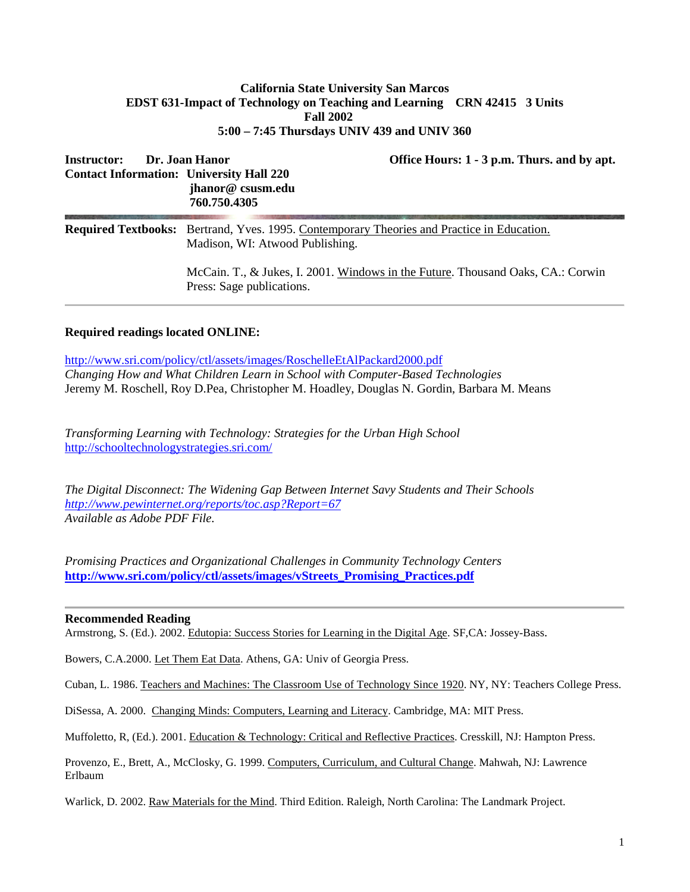## **California State University San Marcos EDST 631-Impact of Technology on Teaching and Learning CRN 42415 3 Units Fall 2002 5:00 – 7:45 Thursdays UNIV 439 and UNIV 360**

| Dr. Joan Hanor<br><b>Instructor:</b><br><b>Contact Information: University Hall 220</b> | Office Hours: 1 - 3 p.m. Thurs. and by apt.<br>jhanor@csusm.edu<br>760.750.4305                                                      |
|-----------------------------------------------------------------------------------------|--------------------------------------------------------------------------------------------------------------------------------------|
|                                                                                         | <b>Required Textbooks:</b> Bertrand, Yves. 1995. Contemporary Theories and Practice in Education.<br>Madison, WI: Atwood Publishing. |
|                                                                                         | McCain. T., & Jukes, I. 2001. Windows in the Future. Thousand Oaks, CA.: Corwin<br>Press: Sage publications.                         |

## **Required readings located ONLINE:**

<http://www.sri.com/policy/ctl/assets/images/RoschelleEtAlPackard2000.pdf> *Changing How and What Children Learn in School with Computer-Based Technologies* Jeremy M. Roschell, Roy D.Pea, Christopher M. Hoadley, Douglas N. Gordin, Barbara M. Means

*Transforming Learning with Technology: Strategies for the Urban High School* <http://schooltechnologystrategies.sri.com/>

*The Digital Disconnect: The Widening Gap Between Internet Savy Students and Their Schools <http://www.pewinternet.org/reports/toc.asp?Report=67> Available as Adobe PDF File.*

*Promising Practices and Organizational Challenges in Community Technology Centers* **[http://www.sri.com/policy/ctl/assets/images/vStreets\\_Promising\\_Practices.pdf](http://www.sri.com/policy/ctl/assets/images/vStreets_Promising_Practices.pdf)**

#### **Recommended Reading**

Armstrong, S. (Ed.). 2002. Edutopia: Success Stories for Learning in the Digital Age. SF,CA: Jossey-Bass.

Bowers, C.A.2000. Let Them Eat Data. Athens, GA: Univ of Georgia Press.

Cuban, L. 1986. Teachers and Machines: The Classroom Use of Technology Since 1920. NY, NY: Teachers College Press.

DiSessa, A. 2000. Changing Minds: Computers, Learning and Literacy. Cambridge, MA: MIT Press.

Muffoletto, R, (Ed.). 2001. Education & Technology: Critical and Reflective Practices. Cresskill, NJ: Hampton Press.

Provenzo, E., Brett, A., McClosky, G. 1999. Computers, Curriculum, and Cultural Change. Mahwah, NJ: Lawrence Erlbaum

Warlick, D. 2002. Raw Materials for the Mind. Third Edition. Raleigh, North Carolina: The Landmark Project.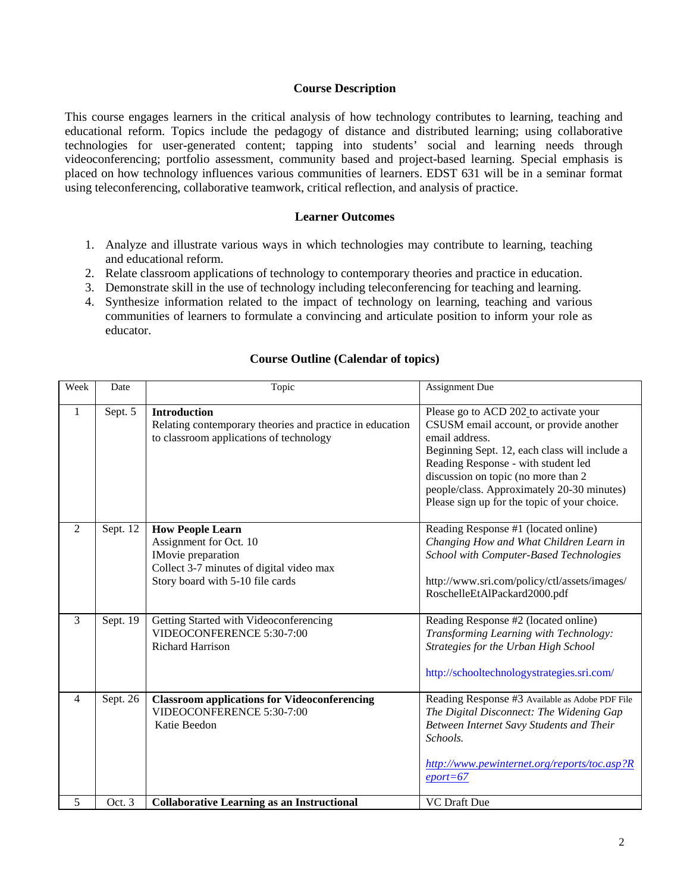#### **Course Description**

This course engages learners in the critical analysis of how technology contributes to learning, teaching and educational reform. Topics include the pedagogy of distance and distributed learning; using collaborative technologies for user-generated content; tapping into students' social and learning needs through videoconferencing; portfolio assessment, community based and project-based learning. Special emphasis is placed on how technology influences various communities of learners. EDST 631 will be in a seminar format using teleconferencing, collaborative teamwork, critical reflection, and analysis of practice.

#### **Learner Outcomes**

- 1. Analyze and illustrate various ways in which technologies may contribute to learning, teaching and educational reform.
- 2. Relate classroom applications of technology to contemporary theories and practice in education.
- 3. Demonstrate skill in the use of technology including teleconferencing for teaching and learning.
- 4. Synthesize information related to the impact of technology on learning, teaching and various communities of learners to formulate a convincing and articulate position to inform your role as educator.

| Week | Date     | Topic                                                                                                                                                          | Assignment Due                                                                                                                                                                                                                                                                                                                  |
|------|----------|----------------------------------------------------------------------------------------------------------------------------------------------------------------|---------------------------------------------------------------------------------------------------------------------------------------------------------------------------------------------------------------------------------------------------------------------------------------------------------------------------------|
| 1    | Sept. 5  | <b>Introduction</b><br>Relating contemporary theories and practice in education<br>to classroom applications of technology                                     | Please go to ACD 202 to activate your<br>CSUSM email account, or provide another<br>email address.<br>Beginning Sept. 12, each class will include a<br>Reading Response - with student led<br>discussion on topic (no more than 2<br>people/class. Approximately 20-30 minutes)<br>Please sign up for the topic of your choice. |
| 2    | Sept. 12 | <b>How People Learn</b><br>Assignment for Oct. 10<br><b>IMovie</b> preparation<br>Collect 3-7 minutes of digital video max<br>Story board with 5-10 file cards | Reading Response #1 (located online)<br>Changing How and What Children Learn in<br>School with Computer-Based Technologies<br>http://www.sri.com/policy/ctl/assets/images/<br>RoschelleEtAlPackard2000.pdf                                                                                                                      |
| 3    | Sept. 19 | Getting Started with Videoconferencing<br>VIDEOCONFERENCE 5:30-7:00<br><b>Richard Harrison</b>                                                                 | Reading Response #2 (located online)<br>Transforming Learning with Technology:<br>Strategies for the Urban High School<br>http://schooltechnologystrategies.sri.com/                                                                                                                                                            |
| 4    | Sept. 26 | <b>Classroom applications for Videoconferencing</b><br>VIDEOCONFERENCE 5:30-7:00<br>Katie Beedon                                                               | Reading Response #3 Available as Adobe PDF File<br>The Digital Disconnect: The Widening Gap<br>Between Internet Savy Students and Their<br>Schools.<br>http://www.pewinternet.org/reports/toc.asp?R<br>$eport = 67$                                                                                                             |
| 5    | Oct. 3   | <b>Collaborative Learning as an Instructional</b>                                                                                                              | <b>VC</b> Draft Due                                                                                                                                                                                                                                                                                                             |

## **Course Outline (Calendar of topics)**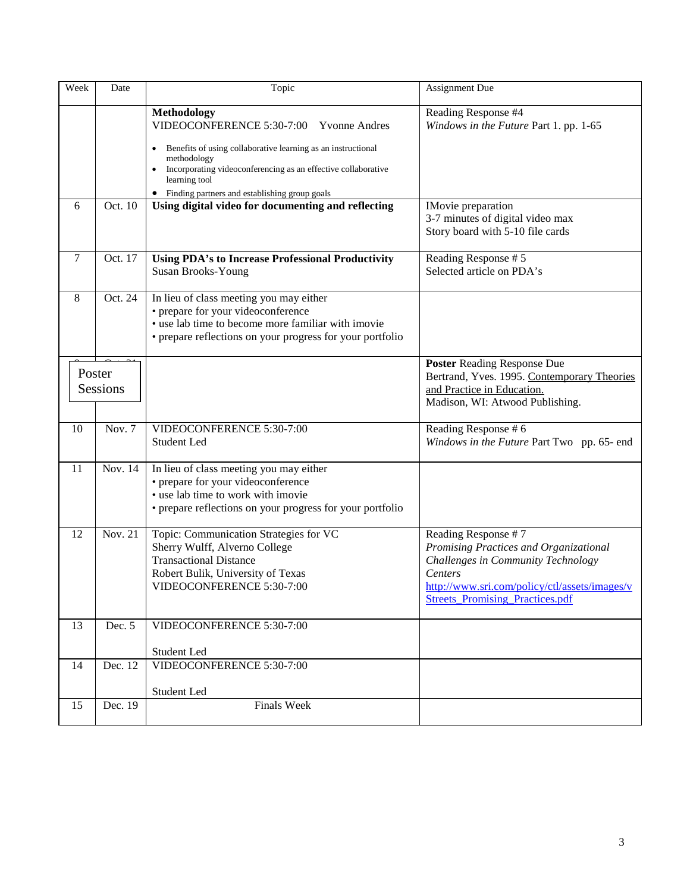| Week   | Date     | Topic                                                                                                                                                                                                                                                                                | Assignment Due                                                                                                                                                                                                   |
|--------|----------|--------------------------------------------------------------------------------------------------------------------------------------------------------------------------------------------------------------------------------------------------------------------------------------|------------------------------------------------------------------------------------------------------------------------------------------------------------------------------------------------------------------|
|        |          | Methodology<br>VIDEOCONFERENCE 5:30-7:00<br><b>Yvonne Andres</b><br>Benefits of using collaborative learning as an instructional<br>methodology<br>Incorporating videoconferencing as an effective collaborative<br>learning tool<br>• Finding partners and establishing group goals | Reading Response #4<br>Windows in the Future Part 1. pp. 1-65                                                                                                                                                    |
| 6      | Oct. 10  | Using digital video for documenting and reflecting                                                                                                                                                                                                                                   | <b>IMovie</b> preparation<br>3-7 minutes of digital video max<br>Story board with 5-10 file cards                                                                                                                |
| 7      | Oct. 17  | <b>Using PDA's to Increase Professional Productivity</b><br>Susan Brooks-Young                                                                                                                                                                                                       | Reading Response #5<br>Selected article on PDA's                                                                                                                                                                 |
| 8      | Oct. 24  | In lieu of class meeting you may either<br>• prepare for your videoconference<br>• use lab time to become more familiar with imovie<br>• prepare reflections on your progress for your portfolio                                                                                     |                                                                                                                                                                                                                  |
| Poster | Sessions |                                                                                                                                                                                                                                                                                      | <b>Poster Reading Response Due</b><br>Bertrand, Yves. 1995. Contemporary Theories<br>and Practice in Education.<br>Madison, WI: Atwood Publishing.                                                               |
| 10     | Nov. 7   | VIDEOCONFERENCE 5:30-7:00<br>Student Led                                                                                                                                                                                                                                             | Reading Response #6<br>Windows in the Future Part Two pp. 65- end                                                                                                                                                |
| 11     | Nov. 14  | In lieu of class meeting you may either<br>• prepare for your videoconference<br>• use lab time to work with imovie<br>• prepare reflections on your progress for your portfolio                                                                                                     |                                                                                                                                                                                                                  |
| 12     | Nov. 21  | Topic: Communication Strategies for VC<br>Sherry Wulff, Alverno College<br><b>Transactional Distance</b><br>Robert Bulik, University of Texas<br>VIDEOCONFERENCE 5:30-7:00                                                                                                           | Reading Response #7<br>Promising Practices and Organizational<br>Challenges in Community Technology<br><i>Centers</i><br>http://www.sri.com/policy/ctl/assets/images/v<br><b>Streets Promising Practices.pdf</b> |
| 13     | Dec. 5   | VIDEOCONFERENCE 5:30-7:00<br>Student Led                                                                                                                                                                                                                                             |                                                                                                                                                                                                                  |
| 14     | Dec. 12  | VIDEOCONFERENCE 5:30-7:00<br>Student Led                                                                                                                                                                                                                                             |                                                                                                                                                                                                                  |
| 15     | Dec. 19  | <b>Finals Week</b>                                                                                                                                                                                                                                                                   |                                                                                                                                                                                                                  |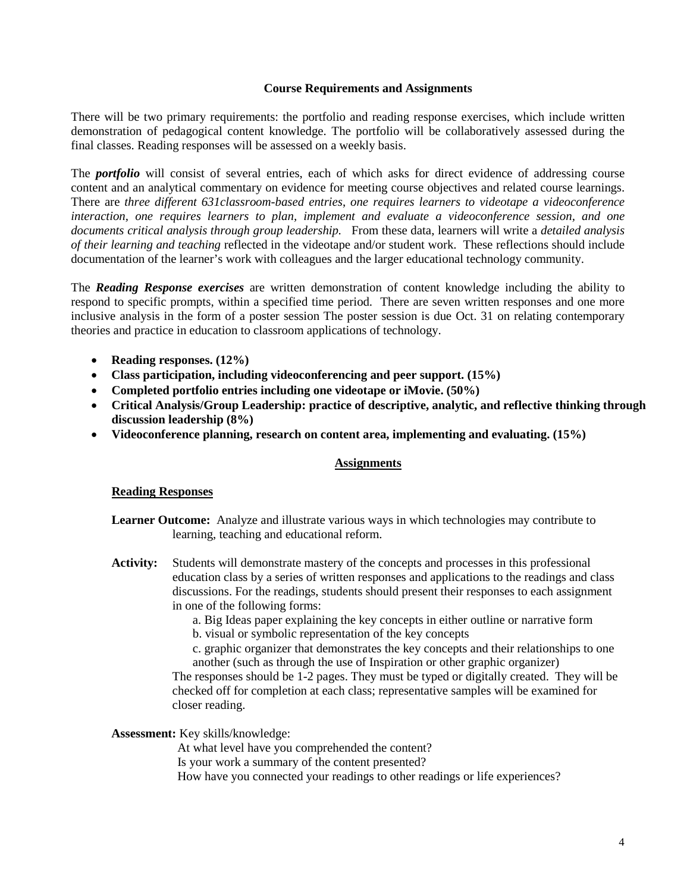#### **Course Requirements and Assignments**

There will be two primary requirements: the portfolio and reading response exercises, which include written demonstration of pedagogical content knowledge. The portfolio will be collaboratively assessed during the final classes. Reading responses will be assessed on a weekly basis.

The *portfolio* will consist of several entries, each of which asks for direct evidence of addressing course content and an analytical commentary on evidence for meeting course objectives and related course learnings. There are *three different 631classroom-based entries*, *one requires learners to videotape a videoconference interaction, one requires learners to plan, implement and evaluate a videoconference session, and one documents critical analysis through group leadership.* From these data, learners will write a *detailed analysis of their learning and teaching* reflected in the videotape and/or student work. These reflections should include documentation of the learner's work with colleagues and the larger educational technology community.

The *Reading Response exercises* are written demonstration of content knowledge including the ability to respond to specific prompts, within a specified time period. There are seven written responses and one more inclusive analysis in the form of a poster session The poster session is due Oct. 31 on relating contemporary theories and practice in education to classroom applications of technology.

- **Reading responses. (12%)**
- **Class participation, including videoconferencing and peer support. (15%)**
- **Completed portfolio entries including one videotape or iMovie. (50%)**
- **Critical Analysis/Group Leadership: practice of descriptive, analytic, and reflective thinking through discussion leadership (8%)**
- **Videoconference planning, research on content area, implementing and evaluating. (15%)**

#### **Assignments**

#### **Reading Responses**

- **Learner Outcome:** Analyze and illustrate various ways in which technologies may contribute to learning, teaching and educational reform.
- **Activity:** Students will demonstrate mastery of the concepts and processes in this professional education class by a series of written responses and applications to the readings and class discussions. For the readings, students should present their responses to each assignment in one of the following forms:

a. Big Ideas paper explaining the key concepts in either outline or narrative form b. visual or symbolic representation of the key concepts

c. graphic organizer that demonstrates the key concepts and their relationships to one another (such as through the use of Inspiration or other graphic organizer)

The responses should be 1-2 pages. They must be typed or digitally created. They will be checked off for completion at each class; representative samples will be examined for closer reading.

#### **Assessment:** Key skills/knowledge:

At what level have you comprehended the content? Is your work a summary of the content presented? How have you connected your readings to other readings or life experiences?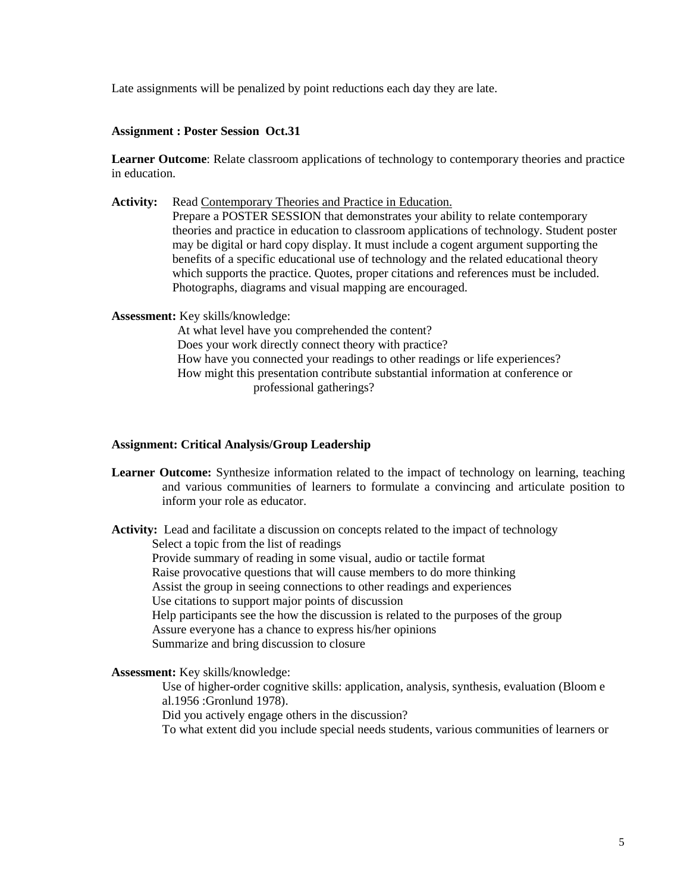Late assignments will be penalized by point reductions each day they are late.

#### **Assignment : Poster Session Oct.31**

**Learner Outcome**: Relate classroom applications of technology to contemporary theories and practice in education.

Activity: Read Contemporary Theories and Practice in Education.

Prepare a POSTER SESSION that demonstrates your ability to relate contemporary theories and practice in education to classroom applications of technology. Student poster may be digital or hard copy display. It must include a cogent argument supporting the benefits of a specific educational use of technology and the related educational theory which supports the practice. Quotes, proper citations and references must be included. Photographs, diagrams and visual mapping are encouraged.

**Assessment:** Key skills/knowledge:

At what level have you comprehended the content? Does your work directly connect theory with practice? How have you connected your readings to other readings or life experiences? How might this presentation contribute substantial information at conference or professional gatherings?

#### **Assignment: Critical Analysis/Group Leadership**

**Learner Outcome:** Synthesize information related to the impact of technology on learning, teaching and various communities of learners to formulate a convincing and articulate position to inform your role as educator.

**Activity:** Lead and facilitate a discussion on concepts related to the impact of technology Select a topic from the list of readings Provide summary of reading in some visual, audio or tactile format Raise provocative questions that will cause members to do more thinking Assist the group in seeing connections to other readings and experiences Use citations to support major points of discussion Help participants see the how the discussion is related to the purposes of the group Assure everyone has a chance to express his/her opinions Summarize and bring discussion to closure

**Assessment:** Key skills/knowledge:

Use of higher-order cognitive skills: application, analysis, synthesis, evaluation (Bloom e al.1956 :Gronlund 1978).

Did you actively engage others in the discussion?

To what extent did you include special needs students, various communities of learners or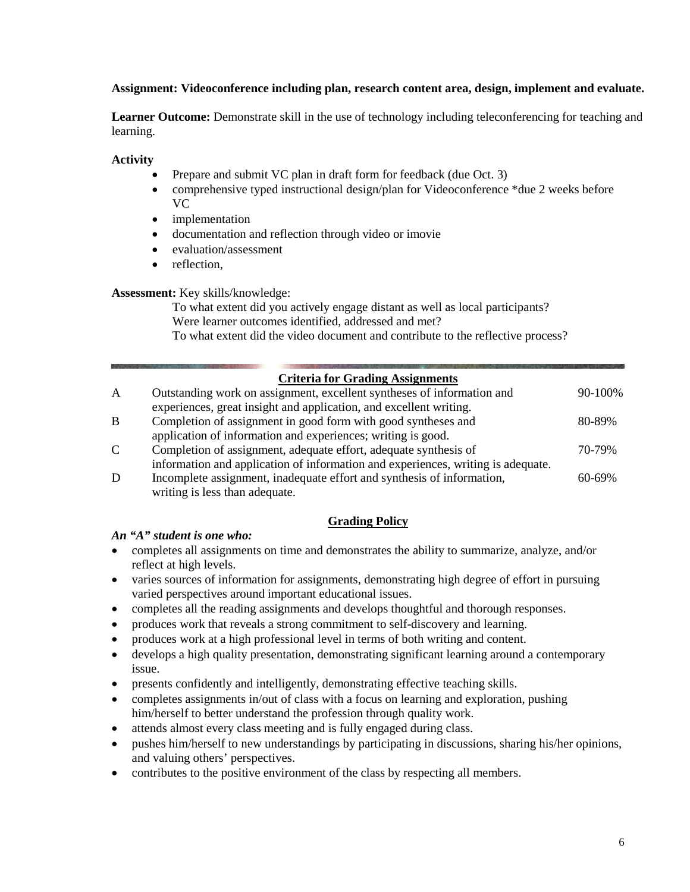## **Assignment: Videoconference including plan, research content area, design, implement and evaluate.**

**Learner Outcome:** Demonstrate skill in the use of technology including teleconferencing for teaching and learning.

## **Activity**

- Prepare and submit VC plan in draft form for feedback (due Oct. 3)
- comprehensive typed instructional design/plan for Videoconference \*due 2 weeks before VC
- *implementation*
- documentation and reflection through video or imovie
- evaluation/assessment
- reflection.

**Assessment:** Key skills/knowledge:

To what extent did you actively engage distant as well as local participants? Were learner outcomes identified, addressed and met? To what extent did the video document and contribute to the reflective process?

## **Criteria for Grading Assignments**

| A            | Outstanding work on assignment, excellent syntheses of information and           | 90-100%     |
|--------------|----------------------------------------------------------------------------------|-------------|
|              | experiences, great insight and application, and excellent writing.               |             |
| B            | Completion of assignment in good form with good syntheses and                    | 80-89%      |
|              | application of information and experiences; writing is good.                     |             |
| $\mathsf{C}$ | Completion of assignment, adequate effort, adequate synthesis of                 | 70-79%      |
|              | information and application of information and experiences, writing is adequate. |             |
| D            | Incomplete assignment, inadequate effort and synthesis of information,           | $60 - 69\%$ |
|              |                                                                                  |             |

writing is less than adequate.

## **Grading Policy**

## *An "A" student is one who:*

- completes all assignments on time and demonstrates the ability to summarize, analyze, and/or reflect at high levels.
- varies sources of information for assignments, demonstrating high degree of effort in pursuing varied perspectives around important educational issues.
- completes all the reading assignments and develops thoughtful and thorough responses.
- produces work that reveals a strong commitment to self-discovery and learning.
- produces work at a high professional level in terms of both writing and content.
- develops a high quality presentation, demonstrating significant learning around a contemporary issue.
- presents confidently and intelligently, demonstrating effective teaching skills.
- completes assignments in/out of class with a focus on learning and exploration, pushing him/herself to better understand the profession through quality work.
- attends almost every class meeting and is fully engaged during class.
- pushes him/herself to new understandings by participating in discussions, sharing his/her opinions, and valuing others' perspectives.
- contributes to the positive environment of the class by respecting all members.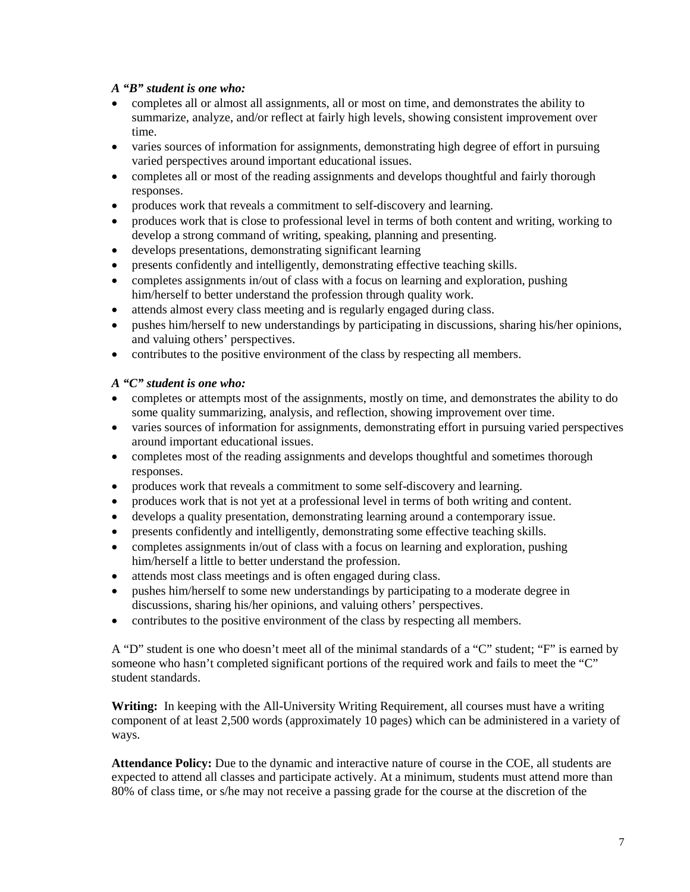## *A "B" student is one who:*

- completes all or almost all assignments, all or most on time, and demonstrates the ability to summarize, analyze, and/or reflect at fairly high levels, showing consistent improvement over time.
- varies sources of information for assignments, demonstrating high degree of effort in pursuing varied perspectives around important educational issues.
- completes all or most of the reading assignments and develops thoughtful and fairly thorough responses.
- produces work that reveals a commitment to self-discovery and learning.
- produces work that is close to professional level in terms of both content and writing, working to develop a strong command of writing, speaking, planning and presenting.
- develops presentations, demonstrating significant learning
- presents confidently and intelligently, demonstrating effective teaching skills.
- completes assignments in/out of class with a focus on learning and exploration, pushing him/herself to better understand the profession through quality work.
- attends almost every class meeting and is regularly engaged during class.
- pushes him/herself to new understandings by participating in discussions, sharing his/her opinions, and valuing others' perspectives.
- contributes to the positive environment of the class by respecting all members.

## *A "C" student is one who:*

- completes or attempts most of the assignments, mostly on time, and demonstrates the ability to do some quality summarizing, analysis, and reflection, showing improvement over time.
- varies sources of information for assignments, demonstrating effort in pursuing varied perspectives around important educational issues.
- completes most of the reading assignments and develops thoughtful and sometimes thorough responses.
- produces work that reveals a commitment to some self-discovery and learning.
- produces work that is not yet at a professional level in terms of both writing and content.
- develops a quality presentation, demonstrating learning around a contemporary issue.
- presents confidently and intelligently, demonstrating some effective teaching skills.
- completes assignments in/out of class with a focus on learning and exploration, pushing him/herself a little to better understand the profession.
- attends most class meetings and is often engaged during class.
- pushes him/herself to some new understandings by participating to a moderate degree in discussions, sharing his/her opinions, and valuing others' perspectives.
- contributes to the positive environment of the class by respecting all members.

A "D" student is one who doesn't meet all of the minimal standards of a "C" student; "F" is earned by someone who hasn't completed significant portions of the required work and fails to meet the "C" student standards.

**Writing:** In keeping with the All-University Writing Requirement, all courses must have a writing component of at least 2,500 words (approximately 10 pages) which can be administered in a variety of ways.

**Attendance Policy:** Due to the dynamic and interactive nature of course in the COE, all students are expected to attend all classes and participate actively. At a minimum, students must attend more than 80% of class time, or s/he may not receive a passing grade for the course at the discretion of the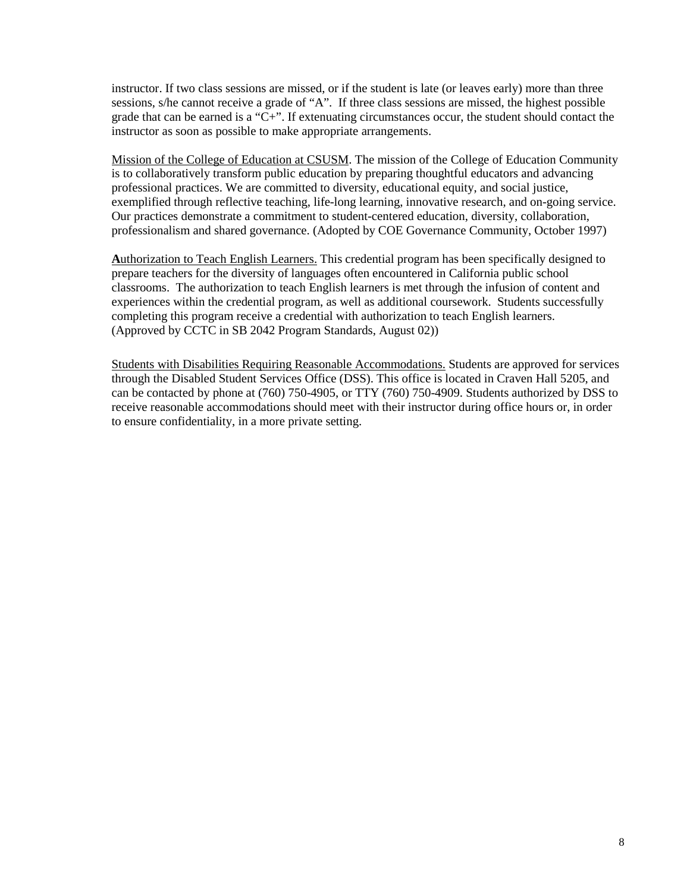instructor. If two class sessions are missed, or if the student is late (or leaves early) more than three sessions, s/he cannot receive a grade of "A". If three class sessions are missed, the highest possible grade that can be earned is a "C+". If extenuating circumstances occur, the student should contact the instructor as soon as possible to make appropriate arrangements.

Mission of the College of Education at CSUSM. The mission of the College of Education Community is to collaboratively transform public education by preparing thoughtful educators and advancing professional practices. We are committed to diversity, educational equity, and social justice, exemplified through reflective teaching, life-long learning, innovative research, and on-going service. Our practices demonstrate a commitment to student-centered education, diversity, collaboration, professionalism and shared governance. (Adopted by COE Governance Community, October 1997)

**A**uthorization to Teach English Learners. This credential program has been specifically designed to prepare teachers for the diversity of languages often encountered in California public school classrooms. The authorization to teach English learners is met through the infusion of content and experiences within the credential program, as well as additional coursework. Students successfully completing this program receive a credential with authorization to teach English learners. (Approved by CCTC in SB 2042 Program Standards, August 02))

Students with Disabilities Requiring Reasonable Accommodations. Students are approved for services through the Disabled Student Services Office (DSS). This office is located in Craven Hall 5205, and can be contacted by phone at (760) 750-4905, or TTY (760) 750-4909. Students authorized by DSS to receive reasonable accommodations should meet with their instructor during office hours or, in order to ensure confidentiality, in a more private setting.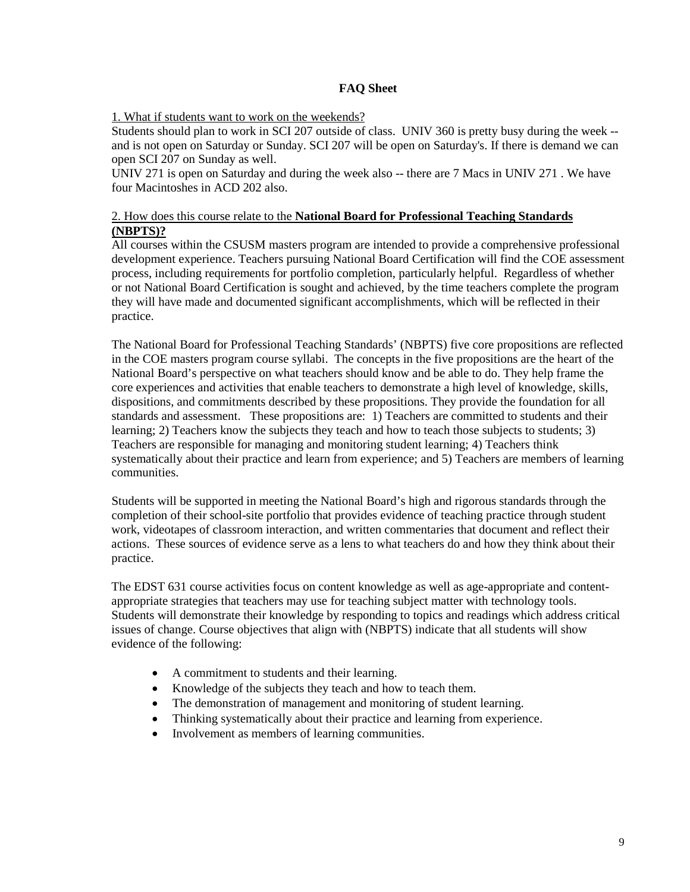## **FAQ Sheet**

## 1. What if students want to work on the weekends?

Students should plan to work in SCI 207 outside of class. UNIV 360 is pretty busy during the week - and is not open on Saturday or Sunday. SCI 207 will be open on Saturday's. If there is demand we can open SCI 207 on Sunday as well.

UNIV 271 is open on Saturday and during the week also -- there are 7 Macs in UNIV 271 . We have four Macintoshes in ACD 202 also.

## 2. How does this course relate to the **National Board for Professional Teaching Standards (NBPTS)?**

All courses within the CSUSM masters program are intended to provide a comprehensive professional development experience. Teachers pursuing National Board Certification will find the COE assessment process, including requirements for portfolio completion, particularly helpful. Regardless of whether or not National Board Certification is sought and achieved, by the time teachers complete the program they will have made and documented significant accomplishments, which will be reflected in their practice.

The National Board for Professional Teaching Standards' (NBPTS) five core propositions are reflected in the COE masters program course syllabi. The concepts in the five propositions are the heart of the National Board's perspective on what teachers should know and be able to do. They help frame the core experiences and activities that enable teachers to demonstrate a high level of knowledge, skills, dispositions, and commitments described by these propositions. They provide the foundation for all standards and assessment. These propositions are: 1) Teachers are committed to students and their learning; 2) Teachers know the subjects they teach and how to teach those subjects to students; 3) Teachers are responsible for managing and monitoring student learning; 4) Teachers think systematically about their practice and learn from experience; and 5) Teachers are members of learning communities.

Students will be supported in meeting the National Board's high and rigorous standards through the completion of their school-site portfolio that provides evidence of teaching practice through student work, videotapes of classroom interaction, and written commentaries that document and reflect their actions. These sources of evidence serve as a lens to what teachers do and how they think about their practice.

The EDST 631 course activities focus on content knowledge as well as age-appropriate and contentappropriate strategies that teachers may use for teaching subject matter with technology tools. Students will demonstrate their knowledge by responding to topics and readings which address critical issues of change. Course objectives that align with (NBPTS) indicate that all students will show evidence of the following:

- A commitment to students and their learning.
- Knowledge of the subjects they teach and how to teach them.
- The demonstration of management and monitoring of student learning.
- Thinking systematically about their practice and learning from experience.
- Involvement as members of learning communities.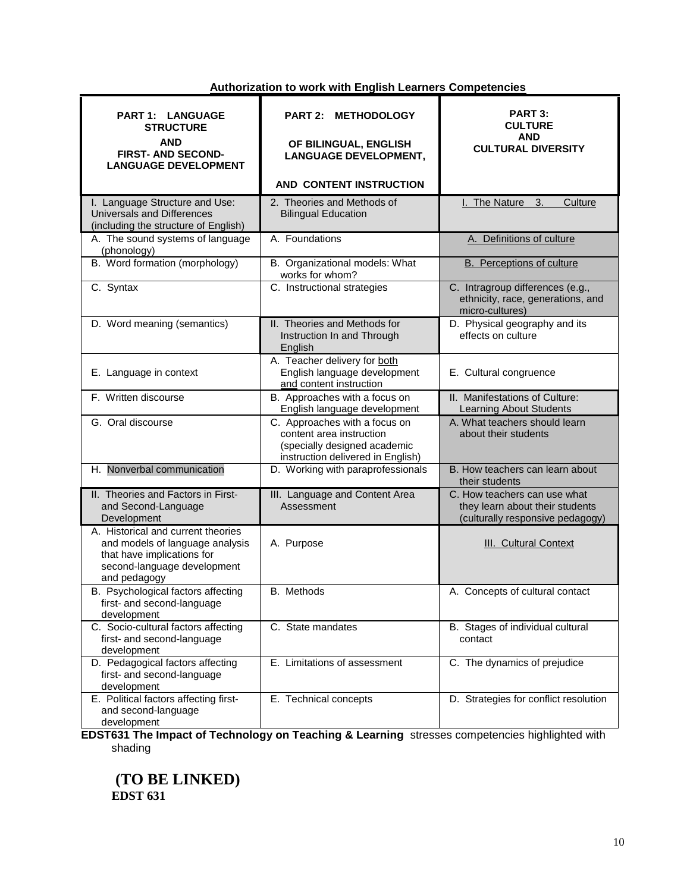## **Authorization to work with English Learners Competencies**

| <b>PART 1: LANGUAGE</b><br><b>STRUCTURE</b><br><b>AND</b><br><b>FIRST- AND SECOND-</b><br><b>LANGUAGE DEVELOPMENT</b>                              | <b>PART 2:</b><br><b>METHODOLOGY</b><br>OF BILINGUAL, ENGLISH<br><b>LANGUAGE DEVELOPMENT,</b><br>AND CONTENT INSTRUCTION       | PART 3:<br><b>CULTURE</b><br>AND<br><b>CULTURAL DIVERSITY</b>                                       |
|----------------------------------------------------------------------------------------------------------------------------------------------------|--------------------------------------------------------------------------------------------------------------------------------|-----------------------------------------------------------------------------------------------------|
|                                                                                                                                                    |                                                                                                                                |                                                                                                     |
| I. Language Structure and Use:<br><b>Universals and Differences</b><br>(including the structure of English)                                        | 2. Theories and Methods of<br><b>Bilingual Education</b>                                                                       | The Nature<br>3.<br>Culture                                                                         |
| A. The sound systems of language<br>(phonology)                                                                                                    | A. Foundations                                                                                                                 | A. Definitions of culture                                                                           |
| B. Word formation (morphology)                                                                                                                     | B. Organizational models: What<br>works for whom?                                                                              | <b>B.</b> Perceptions of culture                                                                    |
| C. Syntax                                                                                                                                          | C. Instructional strategies                                                                                                    | C. Intragroup differences (e.g.,<br>ethnicity, race, generations, and<br>micro-cultures)            |
| D. Word meaning (semantics)                                                                                                                        | II. Theories and Methods for<br>Instruction In and Through<br>English                                                          | D. Physical geography and its<br>effects on culture                                                 |
| E. Language in context                                                                                                                             | A. Teacher delivery for both<br>English language development<br>and content instruction                                        | E. Cultural congruence                                                                              |
| F. Written discourse                                                                                                                               | B. Approaches with a focus on<br>English language development                                                                  | II. Manifestations of Culture:<br>Learning About Students                                           |
| G. Oral discourse                                                                                                                                  | C. Approaches with a focus on<br>content area instruction<br>(specially designed academic<br>instruction delivered in English) | A. What teachers should learn<br>about their students                                               |
| H. Nonverbal communication                                                                                                                         | D. Working with paraprofessionals                                                                                              | B. How teachers can learn about<br>their students                                                   |
| II. Theories and Factors in First-<br>and Second-Language<br>Development                                                                           | III. Language and Content Area<br>Assessment                                                                                   | C. How teachers can use what<br>they learn about their students<br>(culturally responsive pedagogy) |
| A. Historical and current theories<br>and models of language analysis<br>that have implications for<br>second-language development<br>and pedagogy | A. Purpose                                                                                                                     | <b>III. Cultural Context</b>                                                                        |
| B. Psychological factors affecting<br>first- and second-language<br>development                                                                    | B. Methods                                                                                                                     | A. Concepts of cultural contact                                                                     |
| C. Socio-cultural factors affecting<br>first- and second-language<br>development                                                                   | C. State mandates                                                                                                              | B. Stages of individual cultural<br>contact                                                         |
| D. Pedagogical factors affecting<br>first- and second-language<br>development                                                                      | E. Limitations of assessment                                                                                                   | C. The dynamics of prejudice                                                                        |
| E. Political factors affecting first-<br>and second-language<br>development                                                                        | E. Technical concepts                                                                                                          | D. Strategies for conflict resolution                                                               |

**EDST631 The Impact of Technology on Teaching & Learning** stresses competencies highlighted with shading

**(TO BE LINKED) EDST 631**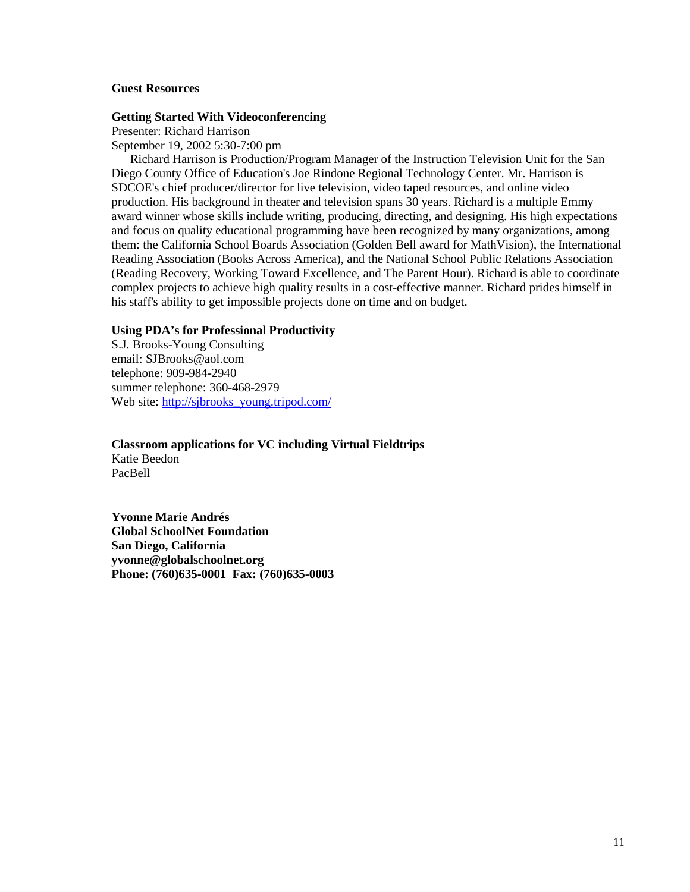#### **Guest Resources**

#### **Getting Started With Videoconferencing**

Presenter: Richard Harrison September 19, 2002 5:30-7:00 pm

Richard Harrison is Production/Program Manager of the Instruction Television Unit for the San Diego County Office of Education's Joe Rindone Regional Technology Center. Mr. Harrison is SDCOE's chief producer/director for live television, video taped resources, and online video production. His background in theater and television spans 30 years. Richard is a multiple Emmy award winner whose skills include writing, producing, directing, and designing. His high expectations and focus on quality educational programming have been recognized by many organizations, among them: the California School Boards Association (Golden Bell award for MathVision), the International Reading Association (Books Across America), and the National School Public Relations Association (Reading Recovery, Working Toward Excellence, and The Parent Hour). Richard is able to coordinate complex projects to achieve high quality results in a cost-effective manner. Richard prides himself in his staff's ability to get impossible projects done on time and on budget.

#### **Using PDA's for Professional Productivity**

S.J. Brooks-Young Consulting email: SJBrooks@aol.com telephone: 909-984-2940 summer telephone: 360-468-2979 Web site: [http://sjbrooks\\_young.tripod.com/](http://sjbrooks_young.tripod.com/)

## **Classroom applications for VC including Virtual Fieldtrips**

Katie Beedon PacBell

**Yvonne Marie Andrés Global SchoolNet Foundation San Diego, California yvonne@globalschoolnet.org Phone: (760)635-0001 Fax: (760)635-0003**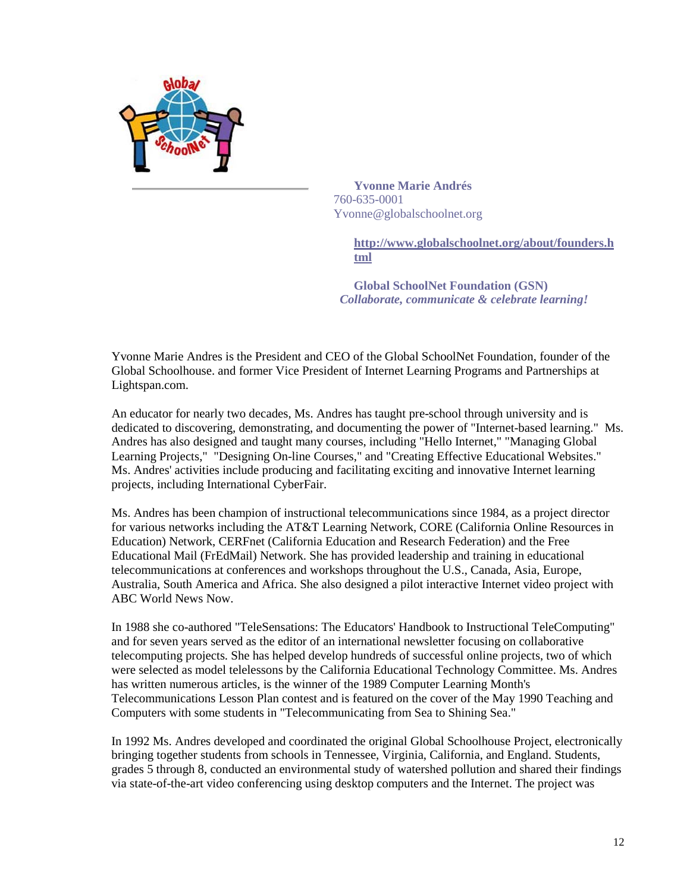

**Yvonne Marie Andrés** 760-635-0001 Yvonne@globalschoolnet.org

> **[http://www.globalschoolnet.org/about/founders.h](http://www.globalschoolnet.org/about/founders.html) [tml](http://www.globalschoolnet.org/about/founders.html)**

**Global SchoolNet Foundation (GSN)**  *Collaborate, communicate & celebrate learning!*

Yvonne Marie Andres is the President and CEO of the Global SchoolNet Foundation, founder of the Global Schoolhouse. and former Vice President of Internet Learning Programs and Partnerships at Lightspan.com.

An educator for nearly two decades, Ms. Andres has taught pre-school through university and is dedicated to discovering, demonstrating, and documenting the power of "Internet-based learning." Ms. Andres has also designed and taught many courses, including "Hello Internet," "Managing Global Learning Projects," "Designing On-line Courses," and "Creating Effective Educational Websites." Ms. Andres' activities include producing and facilitating exciting and innovative Internet learning projects, including International CyberFair.

Ms. Andres has been champion of instructional telecommunications since 1984, as a project director for various networks including the AT&T Learning Network, CORE (California Online Resources in Education) Network, CERFnet (California Education and Research Federation) and the Free Educational Mail (FrEdMail) Network. She has provided leadership and training in educational telecommunications at conferences and workshops throughout the U.S., Canada, Asia, Europe, Australia, South America and Africa. She also designed a pilot interactive Internet video project with ABC World News Now.

In 1988 she co-authored "TeleSensations: The Educators' Handbook to Instructional TeleComputing" and for seven years served as the editor of an international newsletter focusing on collaborative telecomputing projects. She has helped develop hundreds of successful online projects, two of which were selected as model telelessons by the California Educational Technology Committee. Ms. Andres has written numerous articles, is the winner of the 1989 Computer Learning Month's Telecommunications Lesson Plan contest and is featured on the cover of the May 1990 Teaching and Computers with some students in "Telecommunicating from Sea to Shining Sea."

In 1992 Ms. Andres developed and coordinated the original Global Schoolhouse Project, electronically bringing together students from schools in Tennessee, Virginia, California, and England. Students, grades 5 through 8, conducted an environmental study of watershed pollution and shared their findings via state-of-the-art video conferencing using desktop computers and the Internet. The project was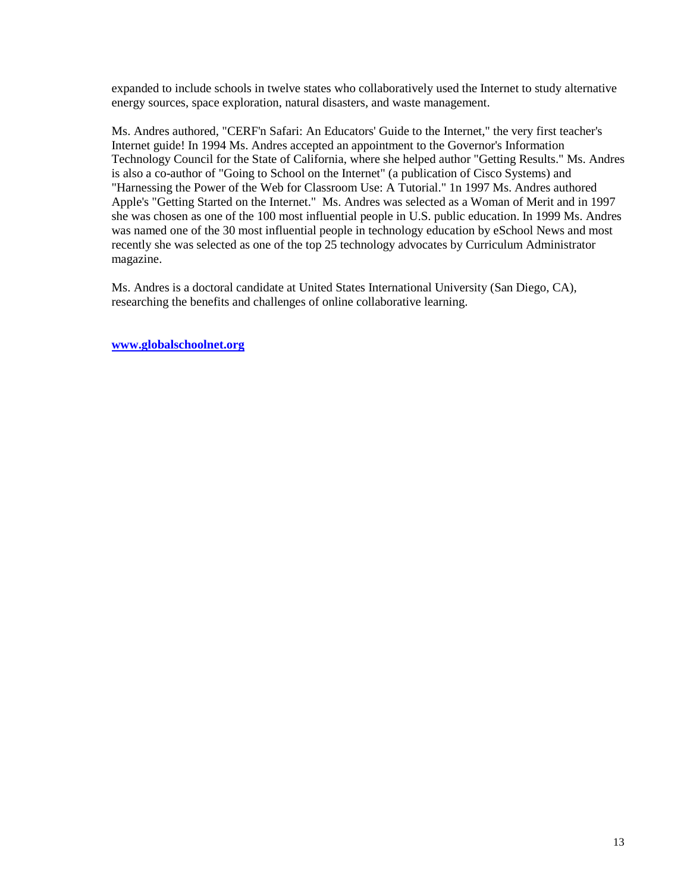expanded to include schools in twelve states who collaboratively used the Internet to study alternative energy sources, space exploration, natural disasters, and waste management.

Ms. Andres authored, "CERF'n Safari: An Educators' Guide to the Internet," the very first teacher's Internet guide! In 1994 Ms. Andres accepted an appointment to the Governor's Information Technology Council for the State of California, where she helped author "Getting Results." Ms. Andres is also a co-author of "Going to School on the Internet" (a publication of Cisco Systems) and "Harnessing the Power of the Web for Classroom Use: A Tutorial." 1n 1997 Ms. Andres authored Apple's "Getting Started on the Internet." Ms. Andres was selected as a Woman of Merit and in 1997 she was chosen as one of the 100 most influential people in U.S. public education. In 1999 Ms. Andres was named one of the 30 most influential people in technology education by eSchool News and most recently she was selected as one of the top 25 technology advocates by Curriculum Administrator magazine.

Ms. Andres is a doctoral candidate at United States International University (San Diego, CA), researching the benefits and challenges of online collaborative learning.

**[www.globalschoolnet.org](http://www.globalschoolnet.org/)**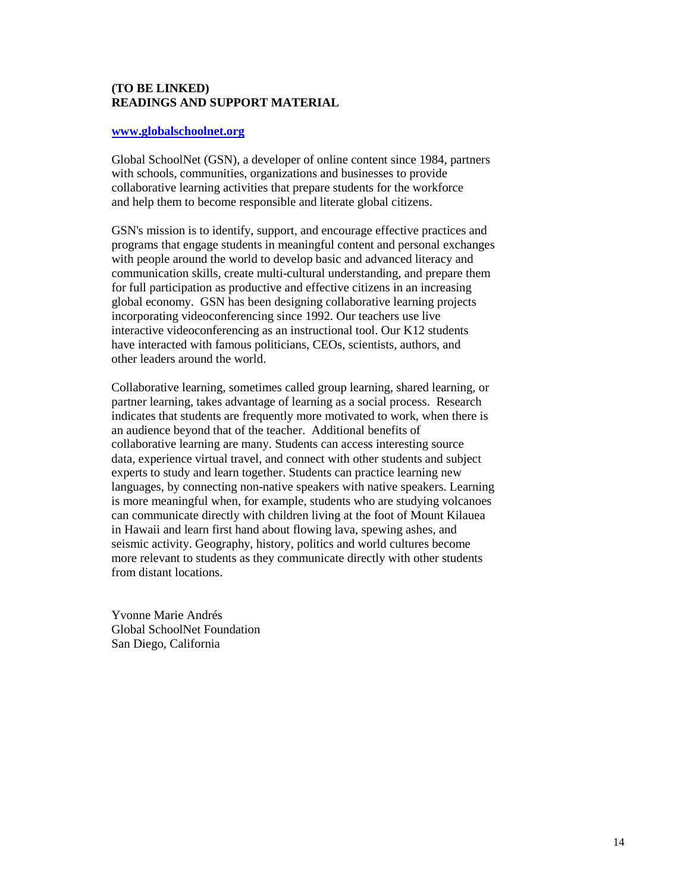## **(TO BE LINKED) READINGS AND SUPPORT MATERIAL**

#### **[www.globalschoolnet.org](http://www.globalschoolnet.org/)**

Global SchoolNet (GSN), a developer of online content since 1984, partners with schools, communities, organizations and businesses to provide collaborative learning activities that prepare students for the workforce and help them to become responsible and literate global citizens.

GSN's mission is to identify, support, and encourage effective practices and programs that engage students in meaningful content and personal exchanges with people around the world to develop basic and advanced literacy and communication skills, create multi-cultural understanding, and prepare them for full participation as productive and effective citizens in an increasing global economy. GSN has been designing collaborative learning projects incorporating videoconferencing since 1992. Our teachers use live interactive videoconferencing as an instructional tool. Our K12 students have interacted with famous politicians, CEOs, scientists, authors, and other leaders around the world.

Collaborative learning, sometimes called group learning, shared learning, or partner learning, takes advantage of learning as a social process. Research indicates that students are frequently more motivated to work, when there is an audience beyond that of the teacher. Additional benefits of collaborative learning are many. Students can access interesting source data, experience virtual travel, and connect with other students and subject experts to study and learn together. Students can practice learning new languages, by connecting non-native speakers with native speakers. Learning is more meaningful when, for example, students who are studying volcanoes can communicate directly with children living at the foot of Mount Kilauea in Hawaii and learn first hand about flowing lava, spewing ashes, and seismic activity. Geography, history, politics and world cultures become more relevant to students as they communicate directly with other students from distant locations.

Yvonne Marie Andrés Global SchoolNet Foundation San Diego, California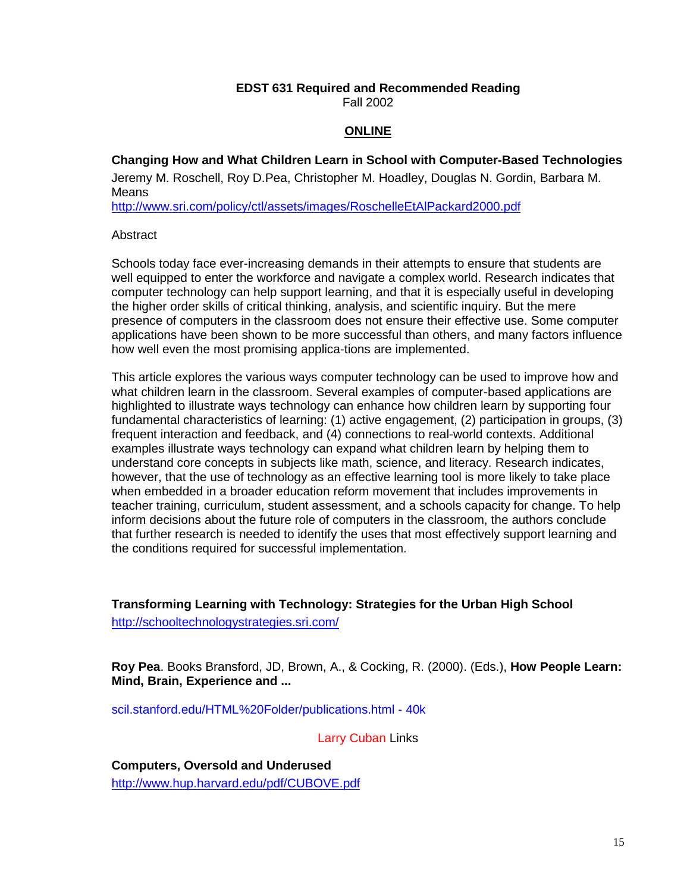## **EDST 631 Required and Recommended Reading**

Fall 2002

#### **ONLINE**

## **Changing How and What Children Learn in School with Computer-Based Technologies**

Jeremy M. Roschell, Roy D.Pea, Christopher M. Hoadley, Douglas N. Gordin, Barbara M. Means

<http://www.sri.com/policy/ctl/assets/images/RoschelleEtAlPackard2000.pdf>

#### **Abstract**

Schools today face ever-increasing demands in their attempts to ensure that students are well equipped to enter the workforce and navigate a complex world. Research indicates that computer technology can help support learning, and that it is especially useful in developing the higher order skills of critical thinking, analysis, and scientific inquiry. But the mere presence of computers in the classroom does not ensure their effective use. Some computer applications have been shown to be more successful than others, and many factors influence how well even the most promising applica-tions are implemented.

This article explores the various ways computer technology can be used to improve how and what children learn in the classroom. Several examples of computer-based applications are highlighted to illustrate ways technology can enhance how children learn by supporting four fundamental characteristics of learning: (1) active engagement, (2) participation in groups, (3) frequent interaction and feedback, and (4) connections to real-world contexts. Additional examples illustrate ways technology can expand what children learn by helping them to understand core concepts in subjects like math, science, and literacy. Research indicates, however, that the use of technology as an effective learning tool is more likely to take place when embedded in a broader education reform movement that includes improvements in teacher training, curriculum, student assessment, and a schools capacity for change. To help inform decisions about the future role of computers in the classroom, the authors conclude that further research is needed to identify the uses that most effectively support learning and the conditions required for successful implementation.

**Transforming Learning with Technology: Strategies for the Urban High School** <http://schooltechnologystrategies.sri.com/>

**Roy Pea**. Books Bransford, JD, Brown, A., & Cocking, R. (2000). (Eds.), **How People Learn: Mind, Brain, Experience and ...** 

scil.stanford.edu/HTML%20Folder/publications.html - 40k

Larry Cuban Links

**Computers, Oversold and Underused**  http://www.hup.harvard.edu/pdf/CUBOVE.pdf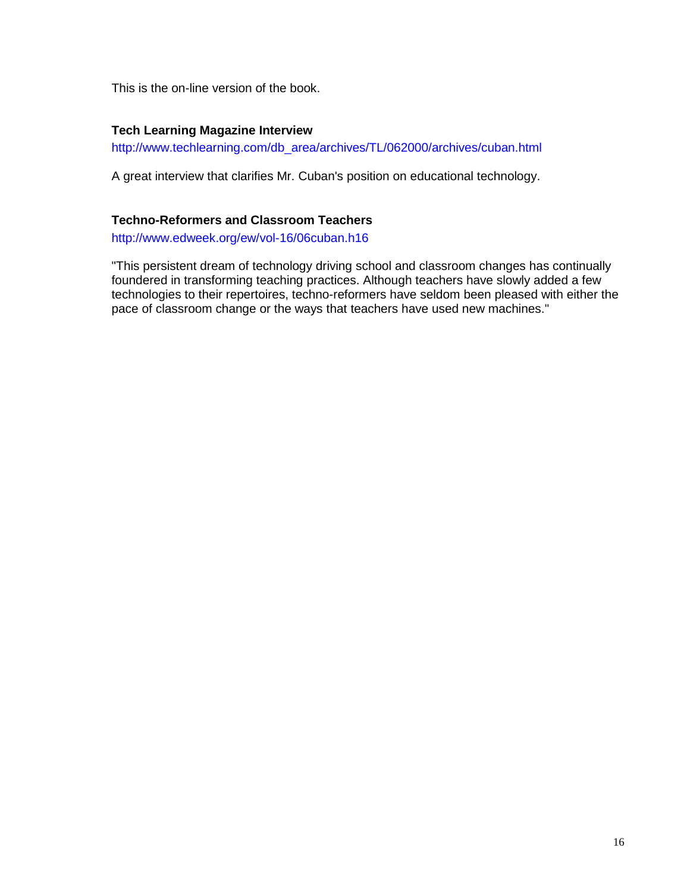This is the on-line version of the book.

## **Tech Learning Magazine Interview**

http://www.techlearning.com/db\_area/archives/TL/062000/archives/cuban.html

A great interview that clarifies Mr. Cuban's position on educational technology.

## **Techno-Reformers and Classroom Teachers**

http://www.edweek.org/ew/vol-16/06cuban.h16

"This persistent dream of technology driving school and classroom changes has continually foundered in transforming teaching practices. Although teachers have slowly added a few technologies to their repertoires, techno-reformers have seldom been pleased with either the pace of classroom change or the ways that teachers have used new machines."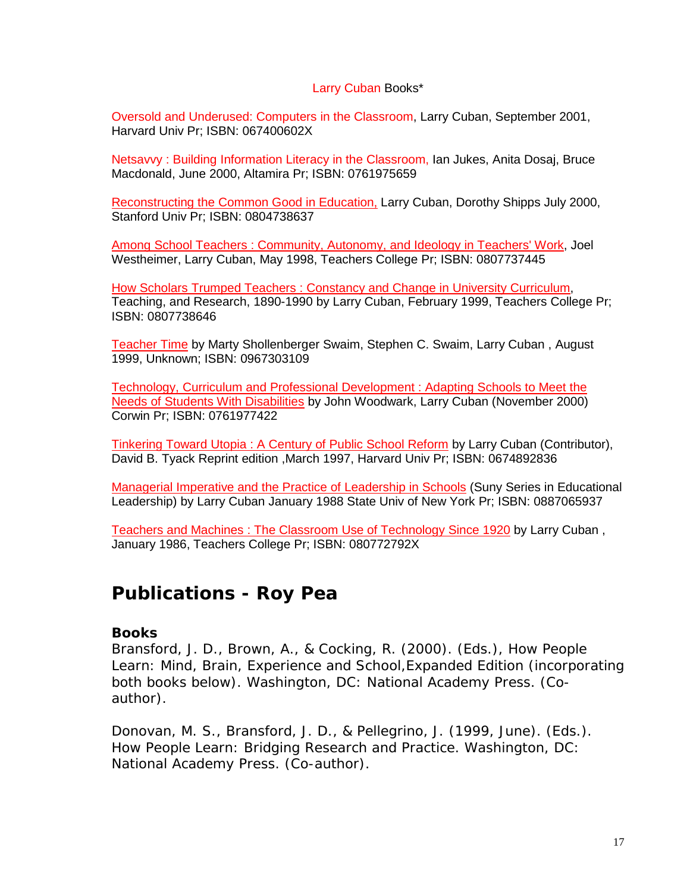## Larry Cuban Books\*

Oversold and Underused: Computers in the Classroom, Larry Cuban, September 2001, Harvard Univ Pr; ISBN: 067400602X

Netsavvy : Building Information Literacy in the Classroom, Ian Jukes, Anita Dosaj, Bruce Macdonald, June 2000, Altamira Pr; ISBN: 0761975659

Reconstructing the Common Good in Education, Larry Cuban, Dorothy Shipps July 2000, Stanford Univ Pr; ISBN: 0804738637

Among School Teachers : Community, Autonomy, and Ideology in Teachers' Work, Joel Westheimer, Larry Cuban, May 1998, Teachers College Pr; ISBN: 0807737445

How Scholars Trumped Teachers : Constancy and Change in University Curriculum, Teaching, and Research, 1890-1990 by Larry Cuban, February 1999, Teachers College Pr; ISBN: 0807738646

Teacher Time by Marty Shollenberger Swaim, Stephen C. Swaim, Larry Cuban , August 1999, Unknown; ISBN: 0967303109

Technology, Curriculum and Professional Development : Adapting Schools to Meet the Needs of Students With Disabilities by John Woodwark, Larry Cuban (November 2000) Corwin Pr; ISBN: 0761977422

Tinkering Toward Utopia : A Century of Public School Reform by Larry Cuban (Contributor), David B. Tyack Reprint edition ,March 1997, Harvard Univ Pr; ISBN: 0674892836

Managerial Imperative and the Practice of Leadership in Schools (Suny Series in Educational Leadership) by Larry Cuban January 1988 State Univ of New York Pr; ISBN: 0887065937

Teachers and Machines : The Classroom Use of Technology Since 1920 by Larry Cuban , January 1986, Teachers College Pr; ISBN: 080772792X

# **Publications - Roy Pea**

# **Books**

Bransford, J. D., Brown, A., & Cocking, R. (2000). (Eds.), How People Learn: Mind, Brain, Experience and School,Expanded Edition (incorporating both books below). Washington, DC: National Academy Press. (Coauthor).

Donovan, M. S., Bransford, J. D., & Pellegrino, J. (1999, June). (Eds.). How People Learn: Bridging Research and Practice. Washington, DC: National Academy Press. (Co-author).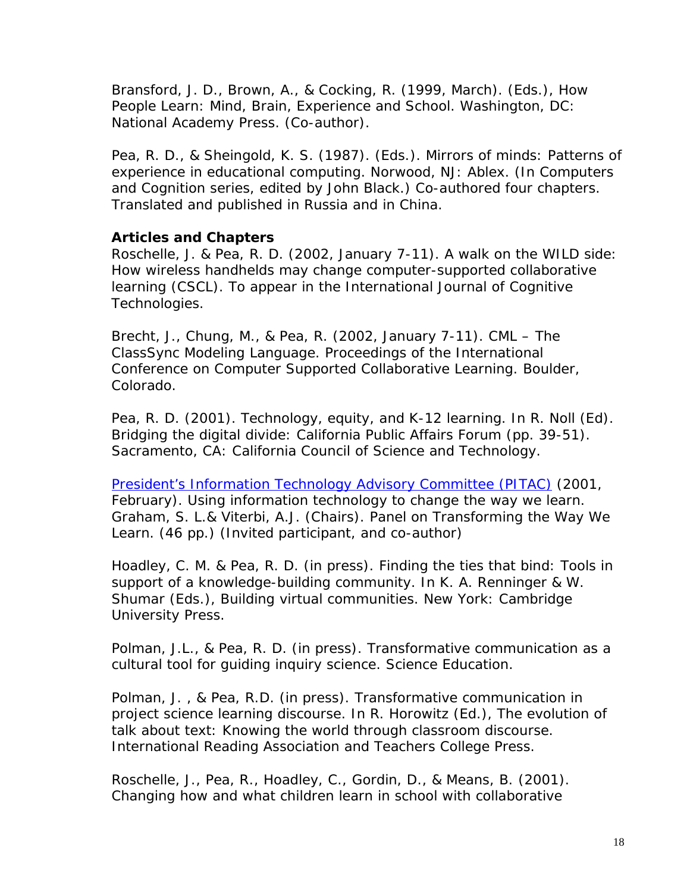Bransford, J. D., Brown, A., & Cocking, R. (1999, March). (Eds.), How People Learn: Mind, Brain, Experience and School. Washington, DC: National Academy Press. (Co-author).

Pea, R. D., & Sheingold, K. S. (1987). (Eds.). Mirrors of minds: Patterns of experience in educational computing. Norwood, NJ: Ablex. (In Computers and Cognition series, edited by John Black.) Co-authored four chapters. Translated and published in Russia and in China.

# **Articles and Chapters**

Roschelle, J. & Pea, R. D. (2002, January 7-11). A walk on the WILD side: How wireless handhelds may change computer-supported collaborative learning (CSCL). To appear in the International Journal of Cognitive Technologies.

Brecht, J., Chung, M., & Pea, R. (2002, January 7-11). CML – The ClassSync Modeling Language. Proceedings of the International Conference on Computer Supported Collaborative Learning. Boulder, Colorado.

Pea, R. D. (2001). Technology, equity, and K-12 learning. In R. Noll (Ed). Bridging the digital divide: California Public Affairs Forum (pp. 39-51). Sacramento, CA: California Council of Science and Technology.

President's Information Technology Advisory Committee (PITAC) (2001, February). Using information technology to change the way we learn. Graham, S. L.& Viterbi, A.J. (Chairs). Panel on Transforming the Way We Learn. (46 pp.) (Invited participant, and co-author)

Hoadley, C. M. & Pea, R. D. (in press). Finding the ties that bind: Tools in support of a knowledge-building community. In K. A. Renninger & W. Shumar (Eds.), Building virtual communities. New York: Cambridge University Press.

Polman, J.L., & Pea, R. D. (in press). Transformative communication as a cultural tool for guiding inquiry science. Science Education.

Polman, J. , & Pea, R.D. (in press). Transformative communication in project science learning discourse. In R. Horowitz (Ed.), The evolution of talk about text: Knowing the world through classroom discourse. International Reading Association and Teachers College Press.

Roschelle, J., Pea, R., Hoadley, C., Gordin, D., & Means, B. (2001). Changing how and what children learn in school with collaborative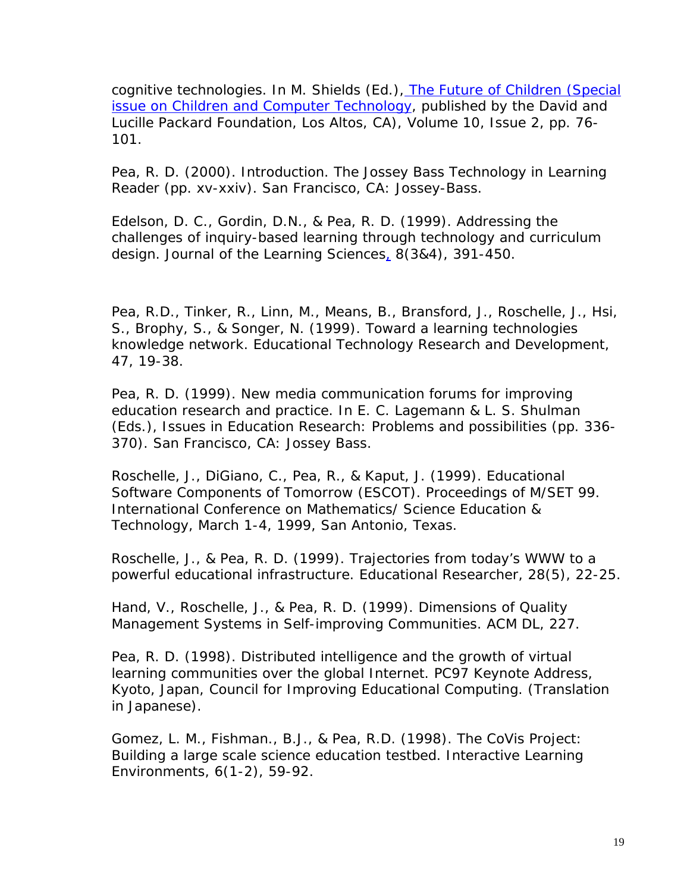cognitive technologies. In M. Shields (Ed.), The Future of Children (Special issue on Children and Computer Technology, published by the David and Lucille Packard Foundation, Los Altos, CA), Volume 10, Issue 2, pp. 76- 101.

Pea, R. D. (2000). Introduction. The Jossey Bass Technology in Learning Reader (pp. xv-xxiv). San Francisco, CA: Jossey-Bass.

Edelson, D. C., Gordin, D.N., & Pea, R. D. (1999). Addressing the challenges of inquiry-based learning through technology and curriculum design. Journal of the Learning Sciences, 8(3&4), 391-450.

Pea, R.D., Tinker, R., Linn, M., Means, B., Bransford, J., Roschelle, J., Hsi, S., Brophy, S., & Songer, N. (1999). Toward a learning technologies knowledge network. Educational Technology Research and Development, 47, 19-38.

Pea, R. D. (1999). New media communication forums for improving education research and practice. In E. C. Lagemann & L. S. Shulman (Eds.), Issues in Education Research: Problems and possibilities (pp. 336- 370). San Francisco, CA: Jossey Bass.

Roschelle, J., DiGiano, C., Pea, R., & Kaput, J. (1999). Educational Software Components of Tomorrow (ESCOT). Proceedings of M/SET 99. International Conference on Mathematics/ Science Education & Technology, March 1-4, 1999, San Antonio, Texas.

Roschelle, J., & Pea, R. D. (1999). Trajectories from today's WWW to a powerful educational infrastructure. Educational Researcher, 28(5), 22-25.

Hand, V., Roschelle, J., & Pea, R. D. (1999). Dimensions of Quality Management Systems in Self-improving Communities. ACM DL, 227.

Pea, R. D. (1998). Distributed intelligence and the growth of virtual learning communities over the global Internet. PC97 Keynote Address, Kyoto, Japan, Council for Improving Educational Computing. (Translation in Japanese).

Gomez, L. M., Fishman., B.J., & Pea, R.D. (1998). The CoVis Project: Building a large scale science education testbed. Interactive Learning Environments, 6(1-2), 59-92.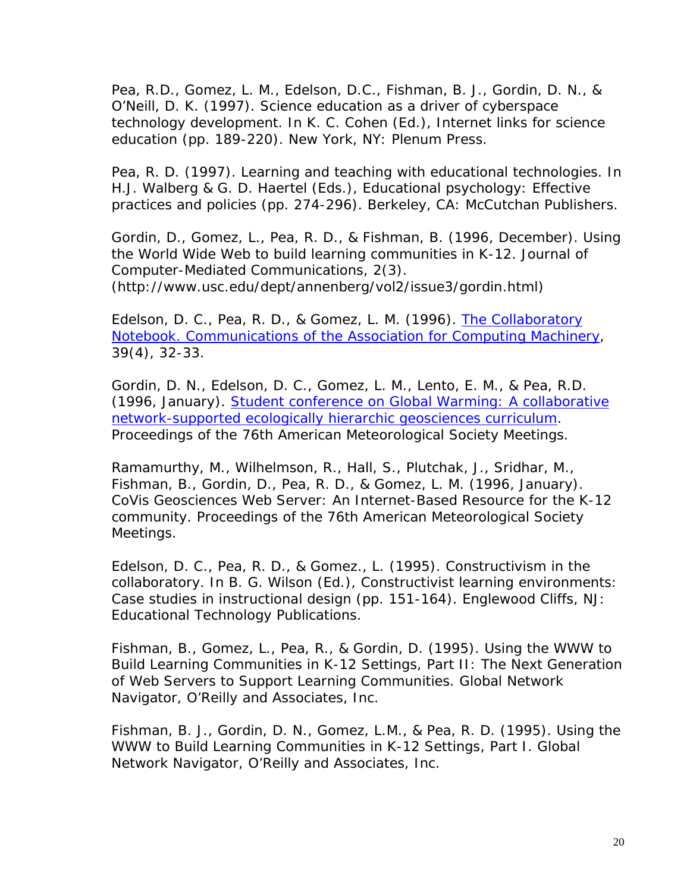Pea, R.D., Gomez, L. M., Edelson, D.C., Fishman, B. J., Gordin, D. N., & O'Neill, D. K. (1997). Science education as a driver of cyberspace technology development. In K. C. Cohen (Ed.), Internet links for science education (pp. 189-220). New York, NY: Plenum Press.

Pea, R. D. (1997). Learning and teaching with educational technologies. In H.J. Walberg & G. D. Haertel (Eds.), Educational psychology: Effective practices and policies (pp. 274-296). Berkeley, CA: McCutchan Publishers.

Gordin, D., Gomez, L., Pea, R. D., & Fishman, B. (1996, December). Using the World Wide Web to build learning communities in K-12. Journal of Computer-Mediated Communications, 2(3). (http://www.usc.edu/dept/annenberg/vol2/issue3/gordin.html)

Edelson, D. C., Pea, R. D., & Gomez, L. M. (1996). The Collaboratory Notebook. Communications of the Association for Computing Machinery, 39(4), 32-33.

Gordin, D. N., Edelson, D. C., Gomez, L. M., Lento, E. M., & Pea, R.D. (1996, January). Student conference on Global Warming: A collaborative network-supported ecologically hierarchic geosciences curriculum. Proceedings of the 76th American Meteorological Society Meetings.

Ramamurthy, M., Wilhelmson, R., Hall, S., Plutchak, J., Sridhar, M., Fishman, B., Gordin, D., Pea, R. D., & Gomez, L. M. (1996, January). CoVis Geosciences Web Server: An Internet-Based Resource for the K-12 community. Proceedings of the 76th American Meteorological Society Meetings.

Edelson, D. C., Pea, R. D., & Gomez., L. (1995). Constructivism in the collaboratory. In B. G. Wilson (Ed.), Constructivist learning environments: Case studies in instructional design (pp. 151-164). Englewood Cliffs, NJ: Educational Technology Publications.

Fishman, B., Gomez, L., Pea, R., & Gordin, D. (1995). Using the WWW to Build Learning Communities in K-12 Settings, Part II: The Next Generation of Web Servers to Support Learning Communities. Global Network Navigator, O'Reilly and Associates, Inc.

Fishman, B. J., Gordin, D. N., Gomez, L.M., & Pea, R. D. (1995). Using the WWW to Build Learning Communities in K-12 Settings, Part I. Global Network Navigator, O'Reilly and Associates, Inc.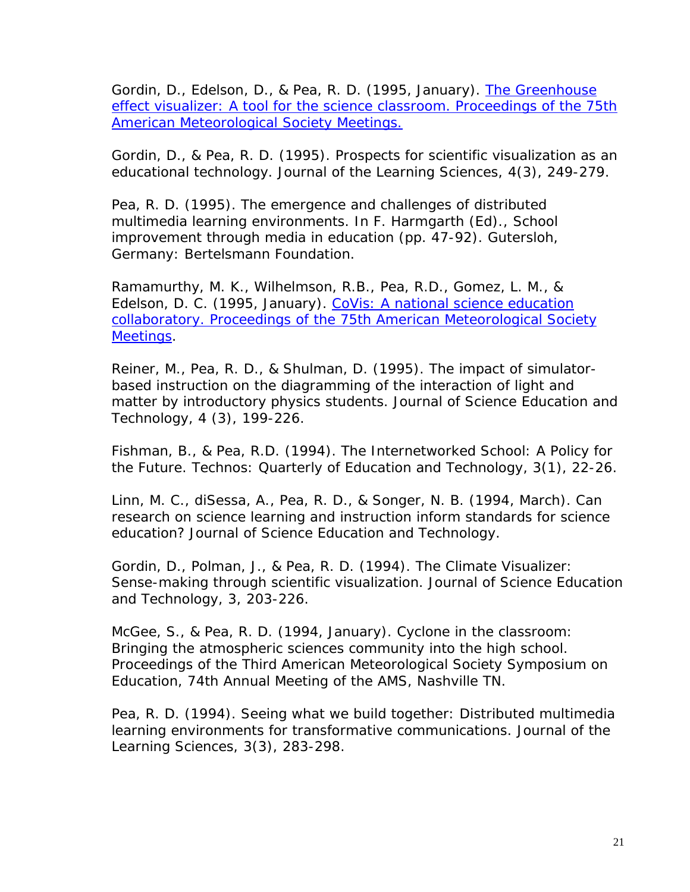Gordin, D., Edelson, D., & Pea, R. D. (1995, January). The Greenhouse effect visualizer: A tool for the science classroom. Proceedings of the 75th American Meteorological Society Meetings.

Gordin, D., & Pea, R. D. (1995). Prospects for scientific visualization as an educational technology. Journal of the Learning Sciences, 4(3), 249-279.

Pea, R. D. (1995). The emergence and challenges of distributed multimedia learning environments. In F. Harmgarth (Ed)., School improvement through media in education (pp. 47-92). Gutersloh, Germany: Bertelsmann Foundation.

Ramamurthy, M. K., Wilhelmson, R.B., Pea, R.D., Gomez, L. M., & Edelson, D. C. (1995, January). CoVis: A national science education collaboratory. Proceedings of the 75th American Meteorological Society Meetings.

Reiner, M., Pea, R. D., & Shulman, D. (1995). The impact of simulatorbased instruction on the diagramming of the interaction of light and matter by introductory physics students. Journal of Science Education and Technology, 4 (3), 199-226.

Fishman, B., & Pea, R.D. (1994). The Internetworked School: A Policy for the Future. Technos: Quarterly of Education and Technology, 3(1), 22-26.

Linn, M. C., diSessa, A., Pea, R. D., & Songer, N. B. (1994, March). Can research on science learning and instruction inform standards for science education? Journal of Science Education and Technology.

Gordin, D., Polman, J., & Pea, R. D. (1994). The Climate Visualizer: Sense-making through scientific visualization. Journal of Science Education and Technology, 3, 203-226.

McGee, S., & Pea, R. D. (1994, January). Cyclone in the classroom: Bringing the atmospheric sciences community into the high school. Proceedings of the Third American Meteorological Society Symposium on Education, 74th Annual Meeting of the AMS, Nashville TN.

Pea, R. D. (1994). Seeing what we build together: Distributed multimedia learning environments for transformative communications. Journal of the Learning Sciences, 3(3), 283-298.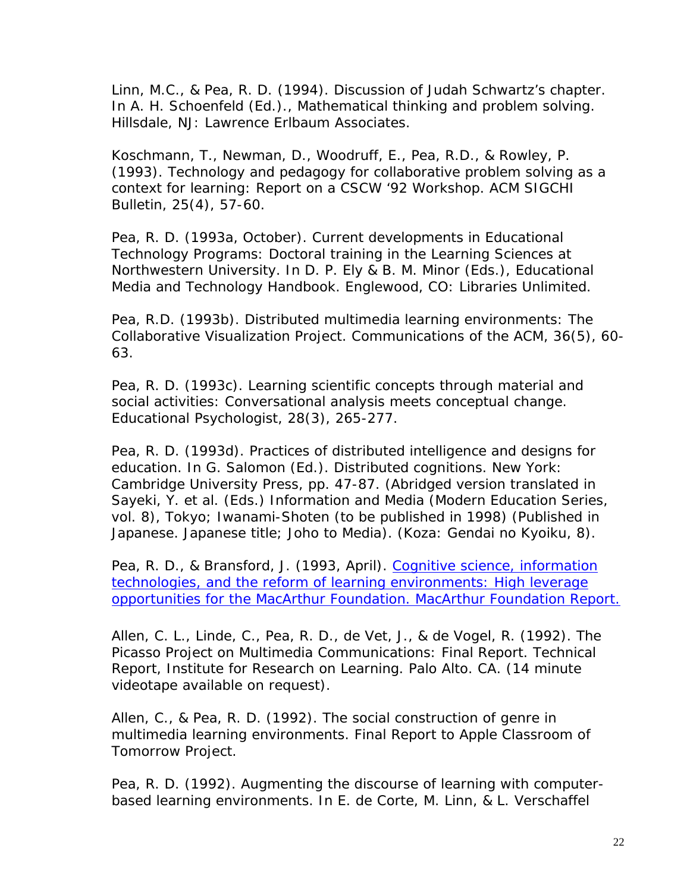Linn, M.C., & Pea, R. D. (1994). Discussion of Judah Schwartz's chapter. In A. H. Schoenfeld (Ed.)., Mathematical thinking and problem solving. Hillsdale, NJ: Lawrence Erlbaum Associates.

Koschmann, T., Newman, D., Woodruff, E., Pea, R.D., & Rowley, P. (1993). Technology and pedagogy for collaborative problem solving as a context for learning: Report on a CSCW '92 Workshop. ACM SIGCHI Bulletin, 25(4), 57-60.

Pea, R. D. (1993a, October). Current developments in Educational Technology Programs: Doctoral training in the Learning Sciences at Northwestern University. In D. P. Ely & B. M. Minor (Eds.), Educational Media and Technology Handbook. Englewood, CO: Libraries Unlimited.

Pea, R.D. (1993b). Distributed multimedia learning environments: The Collaborative Visualization Project. Communications of the ACM, 36(5), 60- 63.

Pea, R. D. (1993c). Learning scientific concepts through material and social activities: Conversational analysis meets conceptual change. Educational Psychologist, 28(3), 265-277.

Pea, R. D. (1993d). Practices of distributed intelligence and designs for education. In G. Salomon (Ed.). Distributed cognitions. New York: Cambridge University Press, pp. 47-87. (Abridged version translated in Sayeki, Y. et al. (Eds.) Information and Media (Modern Education Series, vol. 8), Tokyo; Iwanami-Shoten (to be published in 1998) (Published in Japanese. Japanese title; Joho to Media). (Koza: Gendai no Kyoiku, 8).

Pea, R. D., & Bransford, J. (1993, April). Cognitive science, information technologies, and the reform of learning environments: High leverage opportunities for the MacArthur Foundation. MacArthur Foundation Report.

Allen, C. L., Linde, C., Pea, R. D., de Vet, J., & de Vogel, R. (1992). The Picasso Project on Multimedia Communications: Final Report. Technical Report, Institute for Research on Learning. Palo Alto. CA. (14 minute videotape available on request).

Allen, C., & Pea, R. D. (1992). The social construction of genre in multimedia learning environments. Final Report to Apple Classroom of Tomorrow Project.

Pea, R. D. (1992). Augmenting the discourse of learning with computerbased learning environments. In E. de Corte, M. Linn, & L. Verschaffel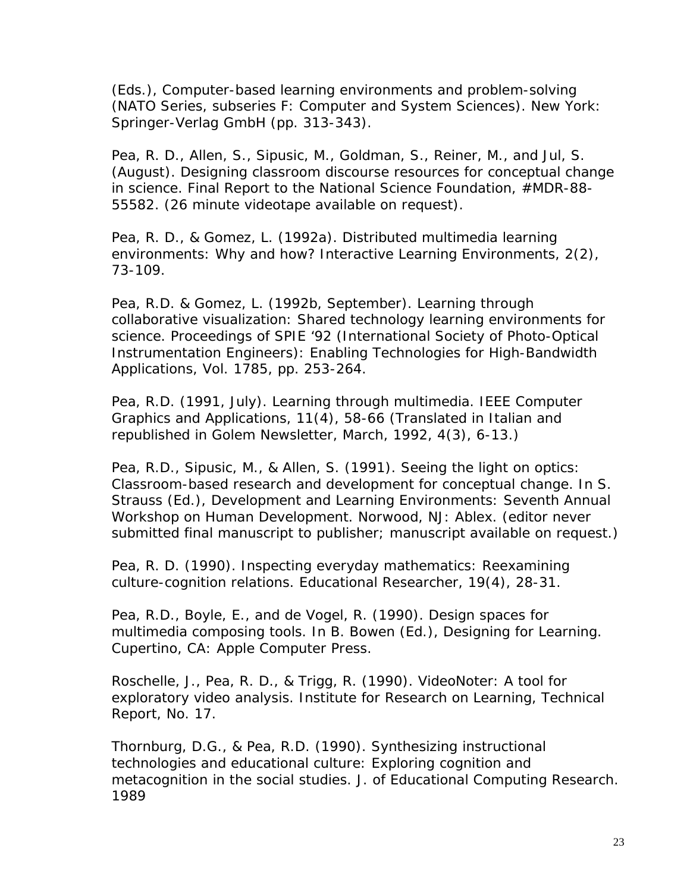(Eds.), Computer-based learning environments and problem-solving (NATO Series, subseries F: Computer and System Sciences). New York: Springer-Verlag GmbH (pp. 313-343).

Pea, R. D., Allen, S., Sipusic, M., Goldman, S., Reiner, M., and Jul, S. (August). Designing classroom discourse resources for conceptual change in science. Final Report to the National Science Foundation, #MDR-88- 55582. (26 minute videotape available on request).

Pea, R. D., & Gomez, L. (1992a). Distributed multimedia learning environments: Why and how? Interactive Learning Environments, 2(2), 73-109.

Pea, R.D. & Gomez, L. (1992b, September). Learning through collaborative visualization: Shared technology learning environments for science. Proceedings of SPIE '92 (International Society of Photo-Optical Instrumentation Engineers): Enabling Technologies for High-Bandwidth Applications, Vol. 1785, pp. 253-264.

Pea, R.D. (1991, July). Learning through multimedia. IEEE Computer Graphics and Applications, 11(4), 58-66 (Translated in Italian and republished in Golem Newsletter, March, 1992, 4(3), 6-13.)

Pea, R.D., Sipusic, M., & Allen, S. (1991). Seeing the light on optics: Classroom-based research and development for conceptual change. In S. Strauss (Ed.), Development and Learning Environments: Seventh Annual Workshop on Human Development. Norwood, NJ: Ablex. (editor never submitted final manuscript to publisher; manuscript available on request.)

Pea, R. D. (1990). Inspecting everyday mathematics: Reexamining culture-cognition relations. Educational Researcher, 19(4), 28-31.

Pea, R.D., Boyle, E., and de Vogel, R. (1990). Design spaces for multimedia composing tools. In B. Bowen (Ed.), Designing for Learning. Cupertino, CA: Apple Computer Press.

Roschelle, J., Pea, R. D., & Trigg, R. (1990). VideoNoter: A tool for exploratory video analysis. Institute for Research on Learning, Technical Report, No. 17.

Thornburg, D.G., & Pea, R.D. (1990). Synthesizing instructional technologies and educational culture: Exploring cognition and metacognition in the social studies. J. of Educational Computing Research. 1989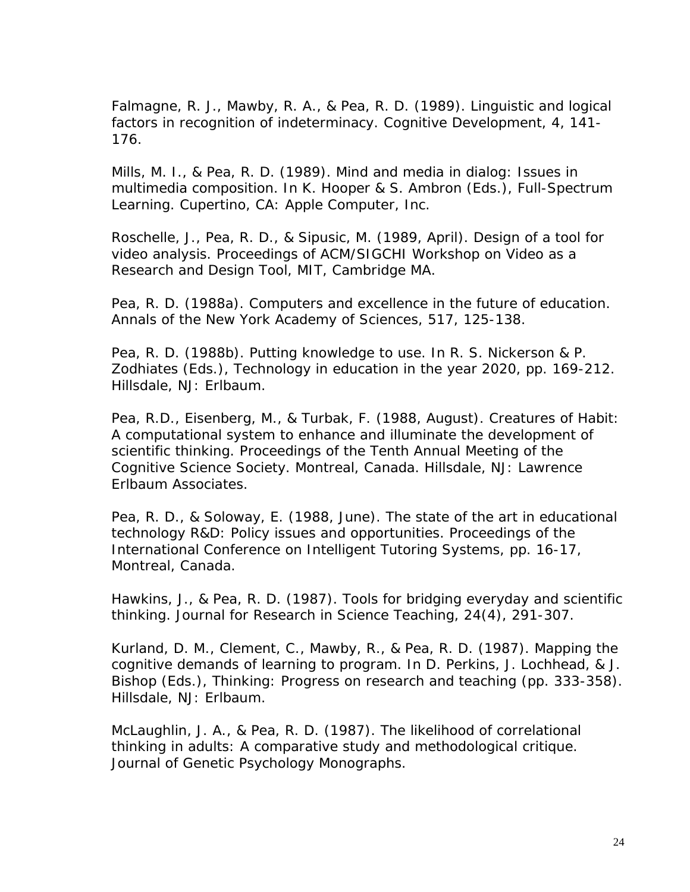Falmagne, R. J., Mawby, R. A., & Pea, R. D. (1989). Linguistic and logical factors in recognition of indeterminacy. Cognitive Development, 4, 141- 176.

Mills, M. I., & Pea, R. D. (1989). Mind and media in dialog: Issues in multimedia composition. In K. Hooper & S. Ambron (Eds.), Full-Spectrum Learning. Cupertino, CA: Apple Computer, Inc.

Roschelle, J., Pea, R. D., & Sipusic, M. (1989, April). Design of a tool for video analysis. Proceedings of ACM/SIGCHI Workshop on Video as a Research and Design Tool, MIT, Cambridge MA.

Pea, R. D. (1988a). Computers and excellence in the future of education. Annals of the New York Academy of Sciences, 517, 125-138.

Pea, R. D. (1988b). Putting knowledge to use. In R. S. Nickerson & P. Zodhiates (Eds.), Technology in education in the year 2020, pp. 169-212. Hillsdale, NJ: Erlbaum.

Pea, R.D., Eisenberg, M., & Turbak, F. (1988, August). Creatures of Habit: A computational system to enhance and illuminate the development of scientific thinking. Proceedings of the Tenth Annual Meeting of the Cognitive Science Society. Montreal, Canada. Hillsdale, NJ: Lawrence Erlbaum Associates.

Pea, R. D., & Soloway, E. (1988, June). The state of the art in educational technology R&D: Policy issues and opportunities. Proceedings of the International Conference on Intelligent Tutoring Systems, pp. 16-17, Montreal, Canada.

Hawkins, J., & Pea, R. D. (1987). Tools for bridging everyday and scientific thinking. Journal for Research in Science Teaching, 24(4), 291-307.

Kurland, D. M., Clement, C., Mawby, R., & Pea, R. D. (1987). Mapping the cognitive demands of learning to program. In D. Perkins, J. Lochhead, & J. Bishop (Eds.), Thinking: Progress on research and teaching (pp. 333-358). Hillsdale, NJ: Erlbaum.

McLaughlin, J. A., & Pea, R. D. (1987). The likelihood of correlational thinking in adults: A comparative study and methodological critique. Journal of Genetic Psychology Monographs.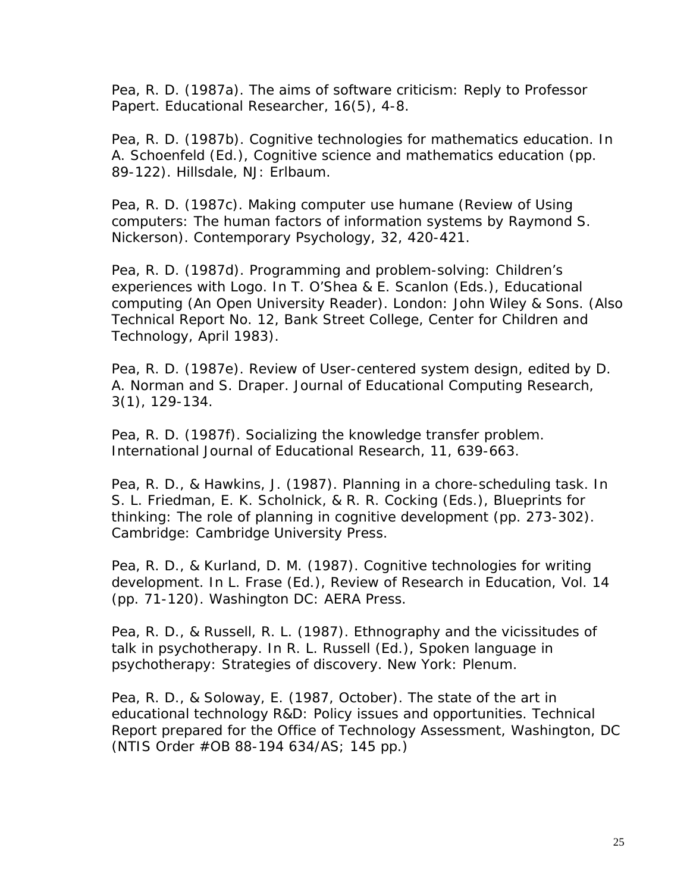Pea, R. D. (1987a). The aims of software criticism: Reply to Professor Papert. Educational Researcher, 16(5), 4-8.

Pea, R. D. (1987b). Cognitive technologies for mathematics education. In A. Schoenfeld (Ed.), Cognitive science and mathematics education (pp. 89-122). Hillsdale, NJ: Erlbaum.

Pea, R. D. (1987c). Making computer use humane (Review of Using computers: The human factors of information systems by Raymond S. Nickerson). Contemporary Psychology, 32, 420-421.

Pea, R. D. (1987d). Programming and problem-solving: Children's experiences with Logo. In T. O'Shea & E. Scanlon (Eds.), Educational computing (An Open University Reader). London: John Wiley & Sons. (Also Technical Report No. 12, Bank Street College, Center for Children and Technology, April 1983).

Pea, R. D. (1987e). Review of User-centered system design, edited by D. A. Norman and S. Draper. Journal of Educational Computing Research, 3(1), 129-134.

Pea, R. D. (1987f). Socializing the knowledge transfer problem. International Journal of Educational Research, 11, 639-663.

Pea, R. D., & Hawkins, J. (1987). Planning in a chore-scheduling task. In S. L. Friedman, E. K. Scholnick, & R. R. Cocking (Eds.), Blueprints for thinking: The role of planning in cognitive development (pp. 273-302). Cambridge: Cambridge University Press.

Pea, R. D., & Kurland, D. M. (1987). Cognitive technologies for writing development. In L. Frase (Ed.), Review of Research in Education, Vol. 14 (pp. 71-120). Washington DC: AERA Press.

Pea, R. D., & Russell, R. L. (1987). Ethnography and the vicissitudes of talk in psychotherapy. In R. L. Russell (Ed.), Spoken language in psychotherapy: Strategies of discovery. New York: Plenum.

Pea, R. D., & Soloway, E. (1987, October). The state of the art in educational technology R&D: Policy issues and opportunities. Technical Report prepared for the Office of Technology Assessment, Washington, DC (NTIS Order #OB 88-194 634/AS; 145 pp.)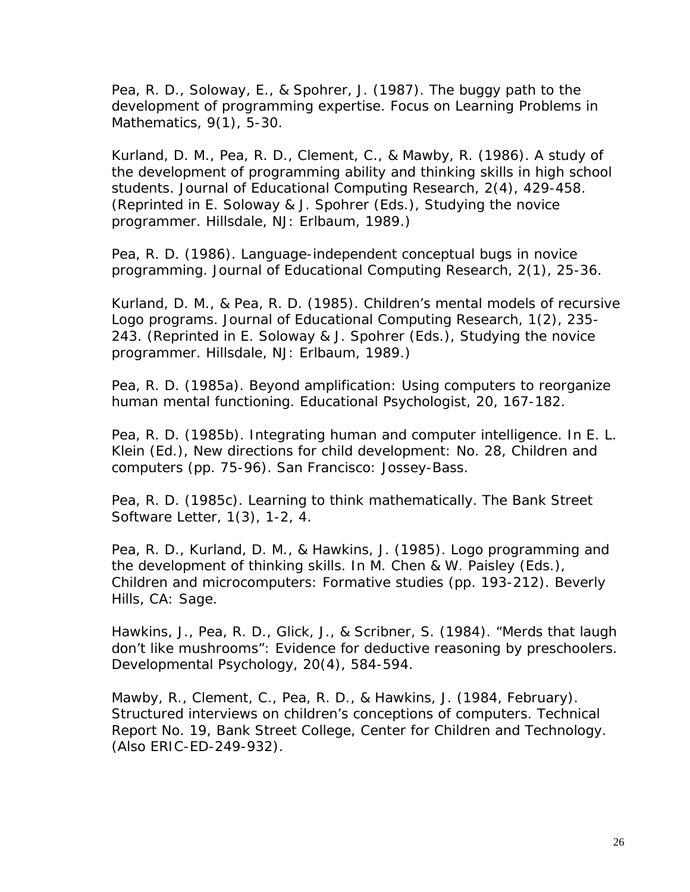Pea, R. D., Soloway, E., & Spohrer, J. (1987). The buggy path to the development of programming expertise. Focus on Learning Problems in Mathematics, 9(1), 5-30.

Kurland, D. M., Pea, R. D., Clement, C., & Mawby, R. (1986). A study of the development of programming ability and thinking skills in high school students. Journal of Educational Computing Research, 2(4), 429-458. (Reprinted in E. Soloway & J. Spohrer (Eds.), Studying the novice programmer. Hillsdale, NJ: Erlbaum, 1989.)

Pea, R. D. (1986). Language-independent conceptual bugs in novice programming. Journal of Educational Computing Research, 2(1), 25-36.

Kurland, D. M., & Pea, R. D. (1985). Children's mental models of recursive Logo programs. Journal of Educational Computing Research, 1(2), 235- 243. (Reprinted in E. Soloway & J. Spohrer (Eds.), Studying the novice programmer. Hillsdale, NJ: Erlbaum, 1989.)

Pea, R. D. (1985a). Beyond amplification: Using computers to reorganize human mental functioning. Educational Psychologist, 20, 167-182.

Pea, R. D. (1985b). Integrating human and computer intelligence. In E. L. Klein (Ed.), New directions for child development: No. 28, Children and computers (pp. 75-96). San Francisco: Jossey-Bass.

Pea, R. D. (1985c). Learning to think mathematically. The Bank Street Software Letter, 1(3), 1-2, 4.

Pea, R. D., Kurland, D. M., & Hawkins, J. (1985). Logo programming and the development of thinking skills. In M. Chen & W. Paisley (Eds.), Children and microcomputers: Formative studies (pp. 193-212). Beverly Hills, CA: Sage.

Hawkins, J., Pea, R. D., Glick, J., & Scribner, S. (1984). "Merds that laugh don't like mushrooms": Evidence for deductive reasoning by preschoolers. Developmental Psychology, 20(4), 584-594.

Mawby, R., Clement, C., Pea, R. D., & Hawkins, J. (1984, February). Structured interviews on children's conceptions of computers. Technical Report No. 19, Bank Street College, Center for Children and Technology. (Also ERIC-ED-249-932).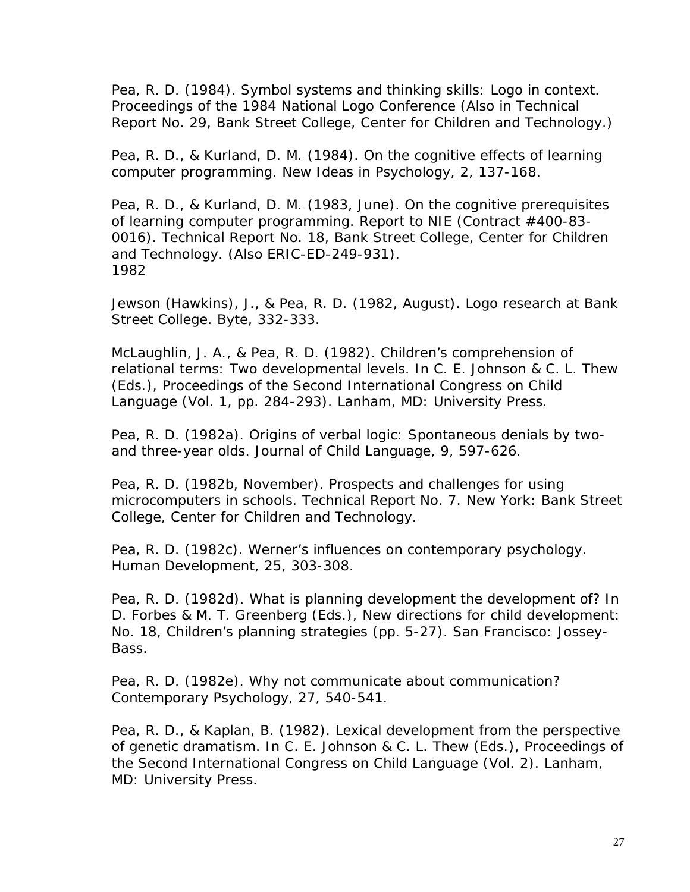Pea, R. D. (1984). Symbol systems and thinking skills: Logo in context. Proceedings of the 1984 National Logo Conference (Also in Technical Report No. 29, Bank Street College, Center for Children and Technology.)

Pea, R. D., & Kurland, D. M. (1984). On the cognitive effects of learning computer programming. New Ideas in Psychology, 2, 137-168.

Pea, R. D., & Kurland, D. M. (1983, June). On the cognitive prerequisites of learning computer programming. Report to NIE (Contract #400-83- 0016). Technical Report No. 18, Bank Street College, Center for Children and Technology. (Also ERIC-ED-249-931). 1982

Jewson (Hawkins), J., & Pea, R. D. (1982, August). Logo research at Bank Street College. Byte, 332-333.

McLaughlin, J. A., & Pea, R. D. (1982). Children's comprehension of relational terms: Two developmental levels. In C. E. Johnson & C. L. Thew (Eds.), Proceedings of the Second International Congress on Child Language (Vol. 1, pp. 284-293). Lanham, MD: University Press.

Pea, R. D. (1982a). Origins of verbal logic: Spontaneous denials by twoand three-year olds. Journal of Child Language, 9, 597-626.

Pea, R. D. (1982b, November). Prospects and challenges for using microcomputers in schools. Technical Report No. 7. New York: Bank Street College, Center for Children and Technology.

Pea, R. D. (1982c). Werner's influences on contemporary psychology. Human Development, 25, 303-308.

Pea, R. D. (1982d). What is planning development the development of? In D. Forbes & M. T. Greenberg (Eds.), New directions for child development: No. 18, Children's planning strategies (pp. 5-27). San Francisco: Jossey-Bass.

Pea, R. D. (1982e). Why not communicate about communication? Contemporary Psychology, 27, 540-541.

Pea, R. D., & Kaplan, B. (1982). Lexical development from the perspective of genetic dramatism. In C. E. Johnson & C. L. Thew (Eds.), Proceedings of the Second International Congress on Child Language (Vol. 2). Lanham, MD: University Press.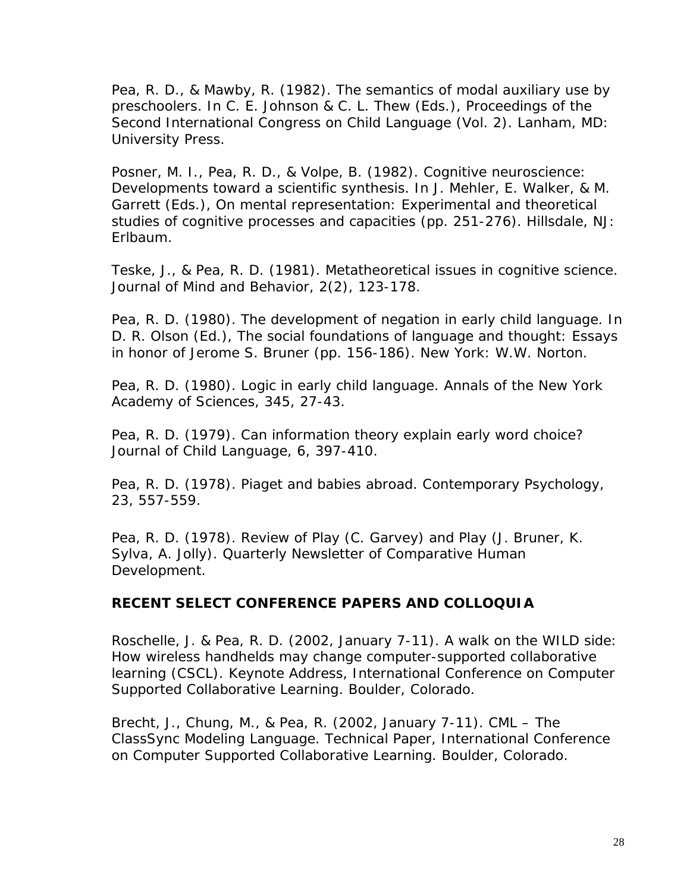Pea, R. D., & Mawby, R. (1982). The semantics of modal auxiliary use by preschoolers. In C. E. Johnson & C. L. Thew (Eds.), Proceedings of the Second International Congress on Child Language (Vol. 2). Lanham, MD: University Press.

Posner, M. I., Pea, R. D., & Volpe, B. (1982). Cognitive neuroscience: Developments toward a scientific synthesis. In J. Mehler, E. Walker, & M. Garrett (Eds.), On mental representation: Experimental and theoretical studies of cognitive processes and capacities (pp. 251-276). Hillsdale, NJ: Erlbaum.

Teske, J., & Pea, R. D. (1981). Metatheoretical issues in cognitive science. Journal of Mind and Behavior, 2(2), 123-178.

Pea, R. D. (1980). The development of negation in early child language. In D. R. Olson (Ed.), The social foundations of language and thought: Essays in honor of Jerome S. Bruner (pp. 156-186). New York: W.W. Norton.

Pea, R. D. (1980). Logic in early child language. Annals of the New York Academy of Sciences, 345, 27-43.

Pea, R. D. (1979). Can information theory explain early word choice? Journal of Child Language, 6, 397-410.

Pea, R. D. (1978). Piaget and babies abroad. Contemporary Psychology, 23, 557-559.

Pea, R. D. (1978). Review of Play (C. Garvey) and Play (J. Bruner, K. Sylva, A. Jolly). Quarterly Newsletter of Comparative Human Development.

# **RECENT SELECT CONFERENCE PAPERS AND COLLOQUIA**

Roschelle, J. & Pea, R. D. (2002, January 7-11). A walk on the WILD side: How wireless handhelds may change computer-supported collaborative learning (CSCL). Keynote Address, International Conference on Computer Supported Collaborative Learning. Boulder, Colorado.

Brecht, J., Chung, M., & Pea, R. (2002, January 7-11). CML – The ClassSync Modeling Language. Technical Paper, International Conference on Computer Supported Collaborative Learning. Boulder, Colorado.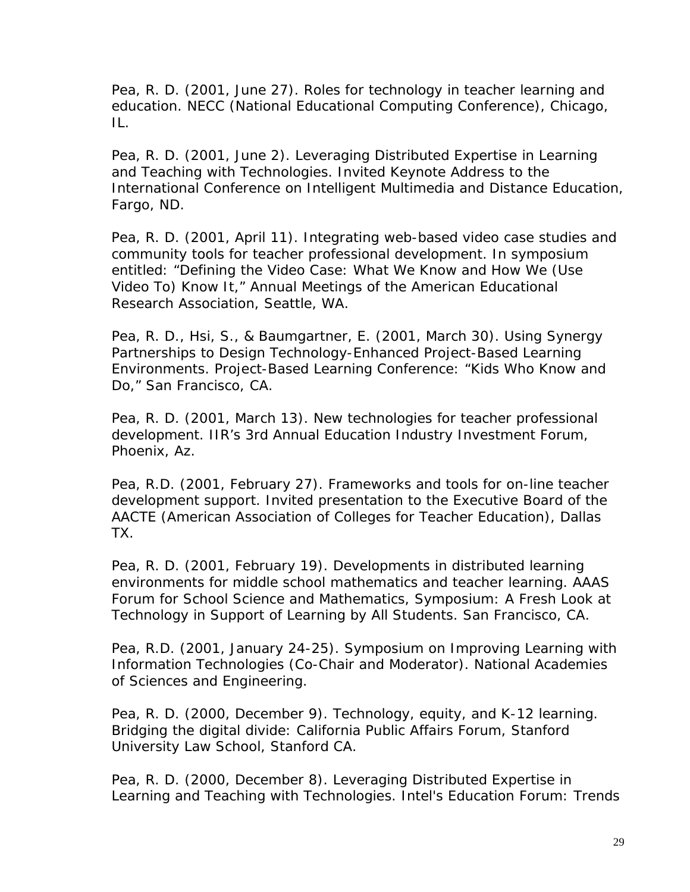Pea, R. D. (2001, June 27). Roles for technology in teacher learning and education. NECC (National Educational Computing Conference), Chicago, IL.

Pea, R. D. (2001, June 2). Leveraging Distributed Expertise in Learning and Teaching with Technologies. Invited Keynote Address to the International Conference on Intelligent Multimedia and Distance Education, Fargo, ND.

Pea, R. D. (2001, April 11). Integrating web-based video case studies and community tools for teacher professional development. In symposium entitled: "Defining the Video Case: What We Know and How We (Use Video To) Know It," Annual Meetings of the American Educational Research Association, Seattle, WA.

Pea, R. D., Hsi, S., & Baumgartner, E. (2001, March 30). Using Synergy Partnerships to Design Technology-Enhanced Project-Based Learning Environments. Project-Based Learning Conference: "Kids Who Know and Do," San Francisco, CA.

Pea, R. D. (2001, March 13). New technologies for teacher professional development. IIR's 3rd Annual Education Industry Investment Forum, Phoenix, Az.

Pea, R.D. (2001, February 27). Frameworks and tools for on-line teacher development support. Invited presentation to the Executive Board of the AACTE (American Association of Colleges for Teacher Education), Dallas TX.

Pea, R. D. (2001, February 19). Developments in distributed learning environments for middle school mathematics and teacher learning. AAAS Forum for School Science and Mathematics, Symposium: A Fresh Look at Technology in Support of Learning by All Students. San Francisco, CA.

Pea, R.D. (2001, January 24-25). Symposium on Improving Learning with Information Technologies (Co-Chair and Moderator). National Academies of Sciences and Engineering.

Pea, R. D. (2000, December 9). Technology, equity, and K-12 learning. Bridging the digital divide: California Public Affairs Forum, Stanford University Law School, Stanford CA.

Pea, R. D. (2000, December 8). Leveraging Distributed Expertise in Learning and Teaching with Technologies. Intel's Education Forum: Trends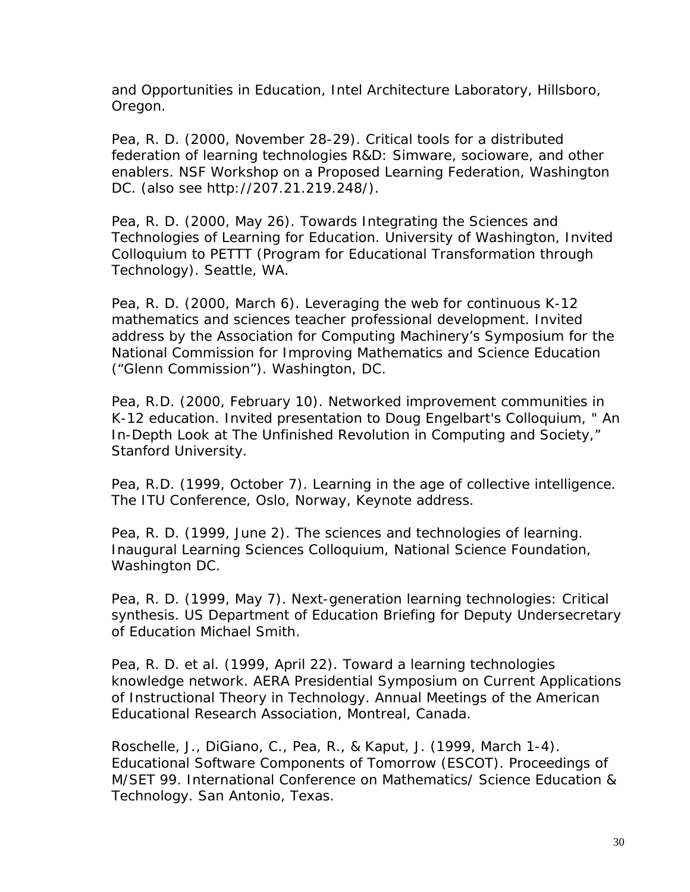and Opportunities in Education, Intel Architecture Laboratory, Hillsboro, Oregon.

Pea, R. D. (2000, November 28-29). Critical tools for a distributed federation of learning technologies R&D: Simware, socioware, and other enablers. NSF Workshop on a Proposed Learning Federation, Washington DC. (also see http://207.21.219.248/).

Pea, R. D. (2000, May 26). Towards Integrating the Sciences and Technologies of Learning for Education. University of Washington, Invited Colloquium to PETTT (Program for Educational Transformation through Technology). Seattle, WA.

Pea, R. D. (2000, March 6). Leveraging the web for continuous K-12 mathematics and sciences teacher professional development. Invited address by the Association for Computing Machinery's Symposium for the National Commission for Improving Mathematics and Science Education ("Glenn Commission"). Washington, DC.

Pea, R.D. (2000, February 10). Networked improvement communities in K-12 education. Invited presentation to Doug Engelbart's Colloquium, " An In-Depth Look at The Unfinished Revolution in Computing and Society," Stanford University.

Pea, R.D. (1999, October 7). Learning in the age of collective intelligence. The ITU Conference, Oslo, Norway, Keynote address.

Pea, R. D. (1999, June 2). The sciences and technologies of learning. Inaugural Learning Sciences Colloquium, National Science Foundation, Washington DC.

Pea, R. D. (1999, May 7). Next-generation learning technologies: Critical synthesis. US Department of Education Briefing for Deputy Undersecretary of Education Michael Smith.

Pea, R. D. et al. (1999, April 22). Toward a learning technologies knowledge network. AERA Presidential Symposium on Current Applications of Instructional Theory in Technology. Annual Meetings of the American Educational Research Association, Montreal, Canada.

Roschelle, J., DiGiano, C., Pea, R., & Kaput, J. (1999, March 1-4). Educational Software Components of Tomorrow (ESCOT). Proceedings of M/SET 99. International Conference on Mathematics/ Science Education & Technology. San Antonio, Texas.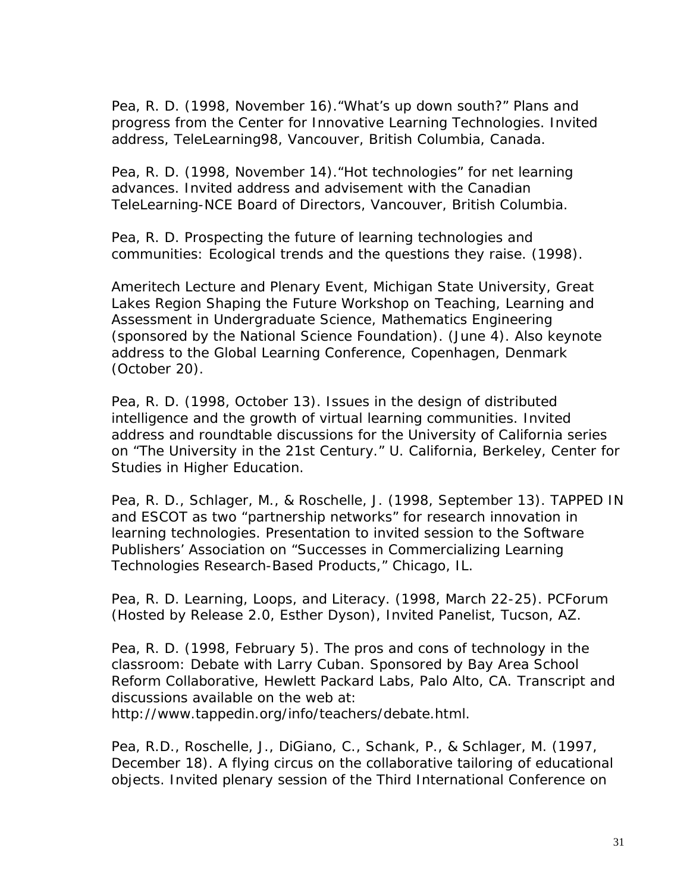Pea, R. D. (1998, November 16)."What's up down south?" Plans and progress from the Center for Innovative Learning Technologies. Invited address, TeleLearning98, Vancouver, British Columbia, Canada.

Pea, R. D. (1998, November 14). "Hot technologies" for net learning advances. Invited address and advisement with the Canadian TeleLearning-NCE Board of Directors, Vancouver, British Columbia.

Pea, R. D. Prospecting the future of learning technologies and communities: Ecological trends and the questions they raise. (1998).

Ameritech Lecture and Plenary Event, Michigan State University, Great Lakes Region Shaping the Future Workshop on Teaching, Learning and Assessment in Undergraduate Science, Mathematics Engineering (sponsored by the National Science Foundation). (June 4). Also keynote address to the Global Learning Conference, Copenhagen, Denmark (October 20).

Pea, R. D. (1998, October 13). Issues in the design of distributed intelligence and the growth of virtual learning communities. Invited address and roundtable discussions for the University of California series on "The University in the 21st Century." U. California, Berkeley, Center for Studies in Higher Education.

Pea, R. D., Schlager, M., & Roschelle, J. (1998, September 13). TAPPED IN and ESCOT as two "partnership networks" for research innovation in learning technologies. Presentation to invited session to the Software Publishers' Association on "Successes in Commercializing Learning Technologies Research-Based Products," Chicago, IL.

Pea, R. D. Learning, Loops, and Literacy. (1998, March 22-25). PCForum (Hosted by Release 2.0, Esther Dyson), Invited Panelist, Tucson, AZ.

Pea, R. D. (1998, February 5). The pros and cons of technology in the classroom: Debate with Larry Cuban. Sponsored by Bay Area School Reform Collaborative, Hewlett Packard Labs, Palo Alto, CA. Transcript and discussions available on the web at:

http://www.tappedin.org/info/teachers/debate.html.

Pea, R.D., Roschelle, J., DiGiano, C., Schank, P., & Schlager, M. (1997, December 18). A flying circus on the collaborative tailoring of educational objects. Invited plenary session of the Third International Conference on